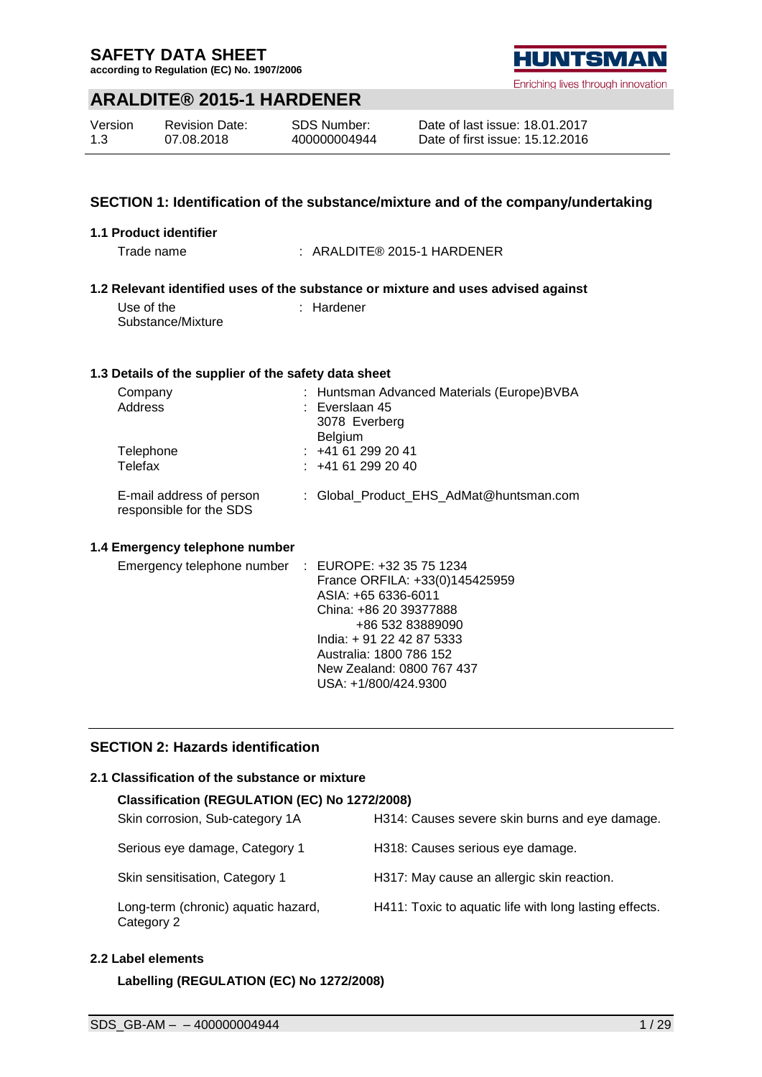**according to Regulation (EC) No. 1907/2006**

## **ARALDITE® 2015-1 HARDENER**

| Version | <b>Revision Date:</b> | SDS Number:  |
|---------|-----------------------|--------------|
| 1.3     | 07.08.2018            | 400000004944 |

Enriching lives through innovation

| Date of last issue: 18.01.2017  |  |
|---------------------------------|--|
| Date of first issue: 15.12.2016 |  |

## **SECTION 1: Identification of the substance/mixture and of the company/undertaking**

#### **1.1 Product identifier**

Trade name : ARALDITE® 2015-1 HARDENER

#### **1.2 Relevant identified uses of the substance or mixture and uses advised against**

Use of the Substance/Mixture : Hardener

#### **1.3 Details of the supplier of the safety data sheet**

| Company<br>Address                                  | : Huntsman Advanced Materials (Europe)BVBA<br>$:$ Everslaan 45<br>3078 Everberg |
|-----------------------------------------------------|---------------------------------------------------------------------------------|
| Telephone<br>Telefax                                | <b>Belgium</b><br>$: +41612992041$<br>: 441612992040                            |
| E-mail address of person<br>responsible for the SDS | : Global Product EHS AdMat@huntsman.com                                         |

## **1.4 Emergency telephone number**

| Emergency telephone number : EUROPE: +32 35 75 1234 |                                |  |
|-----------------------------------------------------|--------------------------------|--|
|                                                     | France ORFILA: +33(0)145425959 |  |
|                                                     | ASIA: +65 6336-6011            |  |
|                                                     | China: +86 20 39377888         |  |
|                                                     | +86 532 83889090               |  |
|                                                     | India: +91 22 42 87 5333       |  |
|                                                     | Australia: 1800 786 152        |  |
|                                                     | New Zealand: 0800 767 437      |  |
|                                                     | USA: +1/800/424.9300           |  |
|                                                     |                                |  |

## **SECTION 2: Hazards identification**

#### **2.1 Classification of the substance or mixture**

#### **Classification (REGULATION (EC) No 1272/2008)**

| Skin corrosion, Sub-category 1A                   | H314: Causes severe skin burns and eye damage.         |
|---------------------------------------------------|--------------------------------------------------------|
| Serious eye damage, Category 1                    | H318: Causes serious eye damage.                       |
| Skin sensitisation, Category 1                    | H317: May cause an allergic skin reaction.             |
| Long-term (chronic) aquatic hazard,<br>Category 2 | H411: Toxic to aquatic life with long lasting effects. |

## **2.2 Label elements**

**Labelling (REGULATION (EC) No 1272/2008)**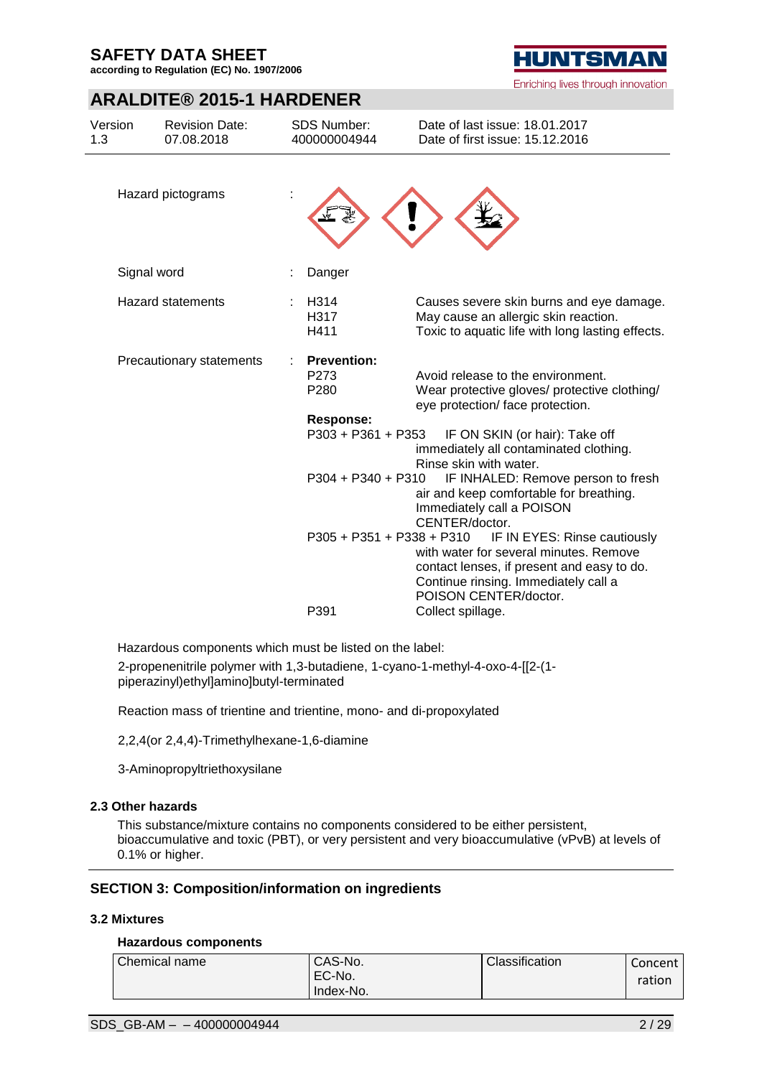**according to Regulation (EC) No. 1907/2006**

## **ARALDITE® 2015-1 HARDENER**

| Version<br>1.3 | <b>Revision Date:</b><br>07.08.2018 | <b>SDS Number:</b><br>400000004944             | Date of last issue: 18.01.2017<br>Date of first issue: 15.12.2016                                                                                                                     |
|----------------|-------------------------------------|------------------------------------------------|---------------------------------------------------------------------------------------------------------------------------------------------------------------------------------------|
|                | Hazard pictograms                   |                                                |                                                                                                                                                                                       |
|                | Signal word                         | Danger                                         |                                                                                                                                                                                       |
|                | <b>Hazard statements</b>            | H314<br>H317<br>H411                           | Causes severe skin burns and eye damage.<br>May cause an allergic skin reaction.<br>Toxic to aquatic life with long lasting effects.                                                  |
|                | Precautionary statements            | <b>Prevention:</b><br>P <sub>273</sub><br>P280 | Avoid release to the environment.<br>Wear protective gloves/ protective clothing/<br>eye protection/ face protection.                                                                 |
|                |                                     | Response:<br>P303 + P361 + P353                | IF ON SKIN (or hair): Take off<br>immediately all contaminated clothing.<br>Rinse skin with water.                                                                                    |
|                |                                     | $P304 + P340 + P310$                           | IF INHALED: Remove person to fresh<br>air and keep comfortable for breathing.<br>Immediately call a POISON<br>CENTER/doctor.                                                          |
|                |                                     | P305 + P351 + P338 + P310                      | IF IN EYES: Rinse cautiously<br>with water for several minutes. Remove<br>contact lenses, if present and easy to do.<br>Continue rinsing. Immediately call a<br>POISON CENTER/doctor. |
|                |                                     | P391                                           | Collect spillage.                                                                                                                                                                     |

Hazardous components which must be listed on the label:

2-propenenitrile polymer with 1,3-butadiene, 1-cyano-1-methyl-4-oxo-4-[[2-(1 piperazinyl)ethyl]amino]butyl-terminated

Reaction mass of trientine and trientine, mono- and di-propoxylated

2,2,4(or 2,4,4)-Trimethylhexane-1,6-diamine

3-Aminopropyltriethoxysilane

#### **2.3 Other hazards**

This substance/mixture contains no components considered to be either persistent, bioaccumulative and toxic (PBT), or very persistent and very bioaccumulative (vPvB) at levels of 0.1% or higher.

## **SECTION 3: Composition/information on ingredients**

#### **3.2 Mixtures**

#### **Hazardous components**

| Chemical name | CAS-No.   | Classification | Concent i |
|---------------|-----------|----------------|-----------|
|               | EC-No.    |                | ration    |
|               | Index-No. |                |           |

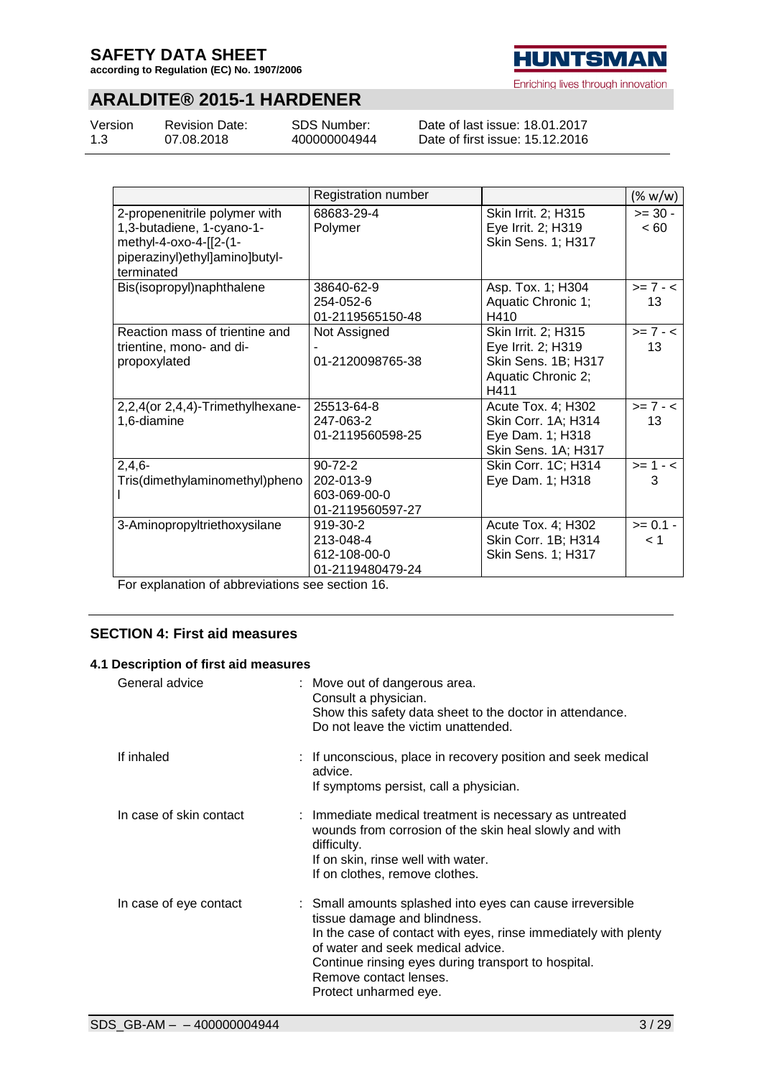**according to Regulation (EC) No. 1907/2006**

# **ARALDITE® 2015-1 HARDENER**

| Version | <b>Revision Date:</b> |
|---------|-----------------------|
| 1.3     | 07.08.2018            |

SDS Number: 400000004944

Date of last issue: 18.01.2017 Date of first issue: 15.12.2016

|                                                                                                                                      | Registration number                                            |                                                                                                | $(\% w/w)$        |
|--------------------------------------------------------------------------------------------------------------------------------------|----------------------------------------------------------------|------------------------------------------------------------------------------------------------|-------------------|
| 2-propenenitrile polymer with<br>1,3-butadiene, 1-cyano-1-<br>methyl-4-oxo-4-[[2-(1-<br>piperazinyl)ethyl]amino]butyl-<br>terminated | 68683-29-4<br>Polymer                                          | Skin Irrit. 2; H315<br>Eye Irrit. 2; H319<br>Skin Sens. 1; H317                                | $>= 30 -$<br><60  |
| Bis(isopropyl)naphthalene                                                                                                            | 38640-62-9<br>254-052-6<br>01-2119565150-48                    | Asp. Tox. 1; H304<br>Aquatic Chronic 1;<br>H410                                                | $>= 7 - <$<br>13  |
| Reaction mass of trientine and<br>trientine, mono- and di-<br>propoxylated                                                           | Not Assigned<br>01-2120098765-38                               | Skin Irrit. 2; H315<br>Eye Irrit. 2; H319<br>Skin Sens. 1B; H317<br>Aquatic Chronic 2;<br>H411 | $>= 7 - 5$<br>13  |
| 2,2,4(or 2,4,4)-Trimethylhexane-<br>1,6-diamine                                                                                      | 25513-64-8<br>247-063-2<br>01-2119560598-25                    | Acute Tox. 4; H302<br>Skin Corr. 1A; H314<br>Eye Dam. 1; H318<br>Skin Sens. 1A; H317           | $>= 7 - <$<br>13  |
| $2,4,6-$<br>Tris(dimethylaminomethyl)pheno                                                                                           | $90 - 72 - 2$<br>202-013-9<br>603-069-00-0<br>01-2119560597-27 | Skin Corr. 1C; H314<br>Eye Dam. 1; H318                                                        | $>= 1 - 5$<br>3   |
| 3-Aminopropyltriethoxysilane                                                                                                         | 919-30-2<br>213-048-4<br>612-108-00-0<br>01-2119480479-24      | Acute Tox. 4; H302<br>Skin Corr. 1B; H314<br>Skin Sens. 1; H317                                | $>= 0.1 -$<br>< 1 |

For explanation of abbreviations see section 16.

## **SECTION 4: First aid measures**

## **4.1 Description of first aid measures**

| General advice          | : Move out of dangerous area.<br>Consult a physician.<br>Show this safety data sheet to the doctor in attendance.<br>Do not leave the victim unattended.                                                                                                                                                    |
|-------------------------|-------------------------------------------------------------------------------------------------------------------------------------------------------------------------------------------------------------------------------------------------------------------------------------------------------------|
| If inhaled              | : If unconscious, place in recovery position and seek medical<br>advice.<br>If symptoms persist, call a physician.                                                                                                                                                                                          |
| In case of skin contact | : Immediate medical treatment is necessary as untreated<br>wounds from corrosion of the skin heal slowly and with<br>difficulty.<br>If on skin, rinse well with water.<br>If on clothes, remove clothes.                                                                                                    |
| In case of eye contact  | : Small amounts splashed into eyes can cause irreversible<br>tissue damage and blindness.<br>In the case of contact with eyes, rinse immediately with plenty<br>of water and seek medical advice.<br>Continue rinsing eyes during transport to hospital.<br>Remove contact lenses.<br>Protect unharmed eye. |



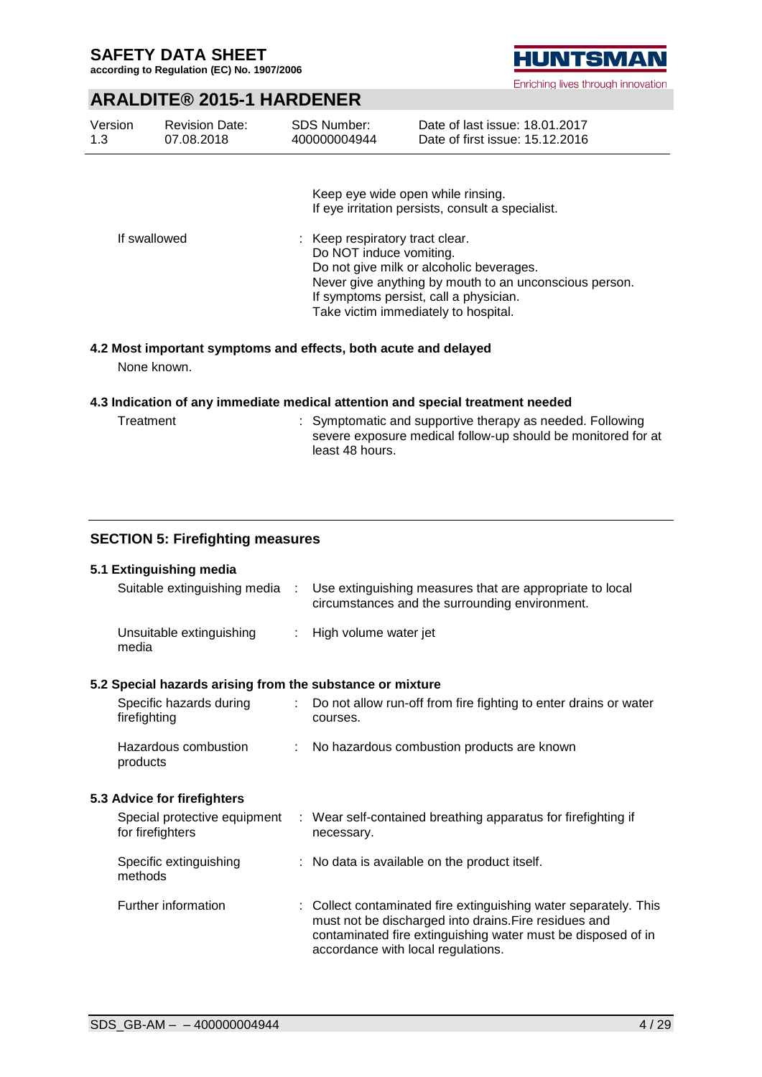**according to Regulation (EC) No. 1907/2006**

# **HUNTSMAN**

Enriching lives through innovation

## **ARALDITE® 2015-1 HARDENER**

| Version<br>1.3 | <b>Revision Date:</b><br>07.08.2018 | <b>SDS Number:</b><br>400000004944 | Date of last issue: 18.01.2017<br>Date of first issue: 15.12.2016                      |
|----------------|-------------------------------------|------------------------------------|----------------------------------------------------------------------------------------|
|                |                                     |                                    | Keep eye wide open while rinsing.<br>If eye irritation persists, consult a specialist. |
|                | <b>If</b> ownllowed                 | . Koop roopiratory traat alaar     |                                                                                        |

If swallowed  $\qquad \qquad : \qquad$  Keep respiratory tract clear. Do NOT induce vomiting. Do not give milk or alcoholic beverages. Never give anything by mouth to an unconscious person. If symptoms persist, call a physician. Take victim immediately to hospital.

## **4.2 Most important symptoms and effects, both acute and delayed**

None known.

#### **4.3 Indication of any immediate medical attention and special treatment needed**

Treatment : Symptomatic and supportive therapy as needed. Following severe exposure medical follow-up should be monitored for at least 48 hours.

## **SECTION 5: Firefighting measures**

## **5.1 Extinguishing media**

| Suitable extinguishing media                          | A. | Use extinguishing measures that are appropriate to local<br>circumstances and the surrounding environment. |
|-------------------------------------------------------|----|------------------------------------------------------------------------------------------------------------|
| Unsuitable extinguishing<br>media                     |    | : High volume water jet                                                                                    |
| Special hazards arising from the substance or mixture |    |                                                                                                            |
| Coopitio bosardo durina                               |    | . De not ellew run off from fire fighting to enter droine er wa                                            |

## **5.2 Special hazards arising from the substance or mixture**

| Specific hazards during<br>firefighting | : Do not allow run-off from fire fighting to enter drains or water<br>courses. |
|-----------------------------------------|--------------------------------------------------------------------------------|
| Hazardous combustion<br>products        | : No hazardous combustion products are known                                   |

## **5.3 Advice for firefighters**

| Special protective equipment<br>for firefighters | : Wear self-contained breathing apparatus for firefighting if<br>necessary.                                                                                                                                                     |
|--------------------------------------------------|---------------------------------------------------------------------------------------------------------------------------------------------------------------------------------------------------------------------------------|
| Specific extinguishing<br>methods                | : No data is available on the product itself.                                                                                                                                                                                   |
| Further information                              | : Collect contaminated fire extinguishing water separately. This<br>must not be discharged into drains. Fire residues and<br>contaminated fire extinguishing water must be disposed of in<br>accordance with local regulations. |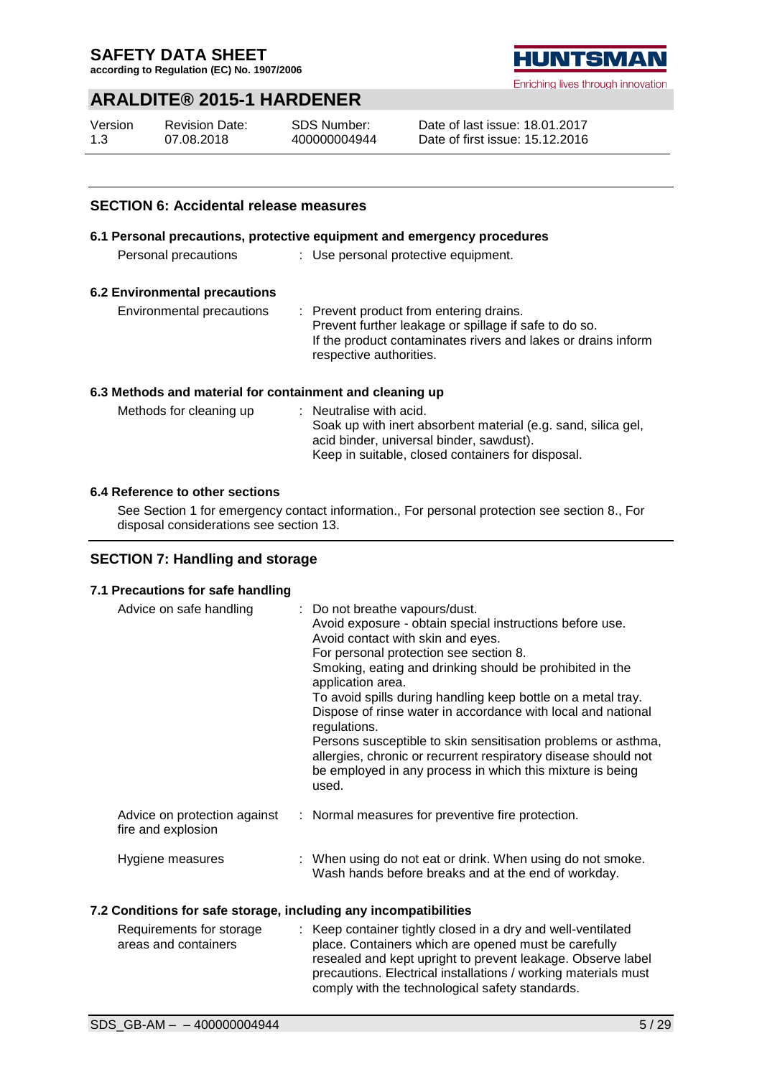**according to Regulation (EC) No. 1907/2006**

## **ARALDITE® 2015-1 HARDENER**

| Version | <b>Revision Date:</b> | SDS Number:  |
|---------|-----------------------|--------------|
| 1.3     | 07.08.2018            | 400000004944 |

Date of last issue: 18.01.2017 Date of first issue: 15.12.2016

## **SECTION 6: Accidental release measures**

## **6.1 Personal precautions, protective equipment and emergency procedures**

| Personal precautions |  | : Use personal protective equipment. |
|----------------------|--|--------------------------------------|
|----------------------|--|--------------------------------------|

## **6.2 Environmental precautions**

Environmental precautions : Prevent product from entering drains. Prevent further leakage or spillage if safe to do so. If the product contaminates rivers and lakes or drains inform respective authorities.

#### **6.3 Methods and material for containment and cleaning up**

| Methods for cleaning up | $\therefore$ Neutralise with acid.                            |
|-------------------------|---------------------------------------------------------------|
|                         | Soak up with inert absorbent material (e.g. sand, silica gel, |
|                         | acid binder, universal binder, sawdust).                      |
|                         | Keep in suitable, closed containers for disposal.             |

## **6.4 Reference to other sections**

See Section 1 for emergency contact information., For personal protection see section 8., For disposal considerations see section 13.

## **SECTION 7: Handling and storage**

## **7.1 Precautions for safe handling** Advice on safe handling : Do not breathe vapours/dust. Avoid exposure - obtain special instructions before use. Avoid contact with skin and eyes. For personal protection see section 8. Smoking, eating and drinking should be prohibited in the application area. To avoid spills during handling keep bottle on a metal tray. Dispose of rinse water in accordance with local and national regulations. Persons susceptible to skin sensitisation problems or asthma, allergies, chronic or recurrent respiratory disease should not be employed in any process in which this mixture is being used. Advice on protection against fire and explosion : Normal measures for preventive fire protection. Hygiene measures : When using do not eat or drink. When using do not smoke. Wash hands before breaks and at the end of workday.

## **7.2 Conditions for safe storage, including any incompatibilities**

| Requirements for storage | : Keep container tightly closed in a dry and well-ventilated   |
|--------------------------|----------------------------------------------------------------|
| areas and containers     | place. Containers which are opened must be carefully           |
|                          | resealed and kept upright to prevent leakage. Observe label    |
|                          | precautions. Electrical installations / working materials must |
|                          | comply with the technological safety standards.                |

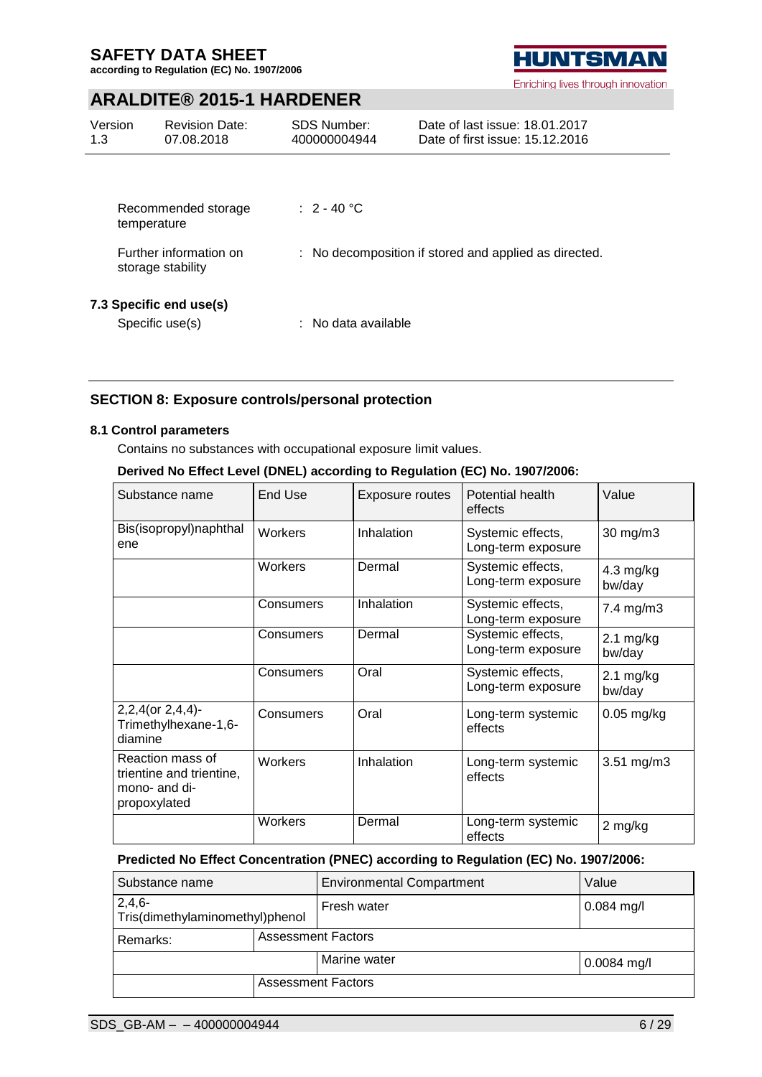**according to Regulation (EC) No. 1907/2006**

# **HUNTSMAN**

Enriching lives through innovation

## **ARALDITE® 2015-1 HARDENER**

| Version<br>1.3 | <b>Revision Date:</b><br>07.08.2018         | <b>SDS Number:</b><br>400000004944                    | Date of last issue: 18.01.2017<br>Date of first issue: 15.12.2016 |
|----------------|---------------------------------------------|-------------------------------------------------------|-------------------------------------------------------------------|
|                |                                             |                                                       |                                                                   |
|                | Recommended storage<br>temperature          | $\div$ 2 - 40 °C                                      |                                                                   |
|                | Further information on<br>storage stability | : No decomposition if stored and applied as directed. |                                                                   |
|                | 7.3 Specific end use(s)<br>Specific use(s)  | : No data available                                   |                                                                   |

## **SECTION 8: Exposure controls/personal protection**

#### **8.1 Control parameters**

Contains no substances with occupational exposure limit values.

## **Derived No Effect Level (DNEL) according to Regulation (EC) No. 1907/2006:**

| Substance name                                                                | End Use        | Exposure routes | Potential health<br>effects             | Value                         |
|-------------------------------------------------------------------------------|----------------|-----------------|-----------------------------------------|-------------------------------|
| Bis(isopropyl)naphthal<br>ene                                                 | <b>Workers</b> | Inhalation      | Systemic effects,<br>Long-term exposure | 30 mg/m3                      |
|                                                                               | Workers        | Dermal          | Systemic effects,<br>Long-term exposure | $4.3$ mg/kg<br>bw/day         |
|                                                                               | Consumers      | Inhalation      | Systemic effects,<br>Long-term exposure | 7.4 mg/m3                     |
|                                                                               | Consumers      | Dermal          | Systemic effects,<br>Long-term exposure | $2.1 \text{ mg/kg}$<br>bw/day |
|                                                                               | Consumers      | Oral            | Systemic effects,<br>Long-term exposure | $2.1 \text{ mg/kg}$<br>bw/day |
| 2,2,4(or 2,4,4)-<br>Trimethylhexane-1,6-<br>diamine                           | Consumers      | Oral            | Long-term systemic<br>effects           | $0.05$ mg/kg                  |
| Reaction mass of<br>trientine and trientine,<br>mono- and di-<br>propoxylated | <b>Workers</b> | Inhalation      | Long-term systemic<br>effects           | 3.51 mg/m3                    |
|                                                                               | Workers        | Dermal          | Long-term systemic<br>effects           | 2 mg/kg                       |

## **Predicted No Effect Concentration (PNEC) according to Regulation (EC) No. 1907/2006:**

| Substance name                              |                           | <b>Environmental Compartment</b> | Value         |
|---------------------------------------------|---------------------------|----------------------------------|---------------|
| $2,4,6-$<br>Tris(dimethylaminomethyl)phenol |                           | Fresh water                      | $0.084$ mg/l  |
| Remarks:                                    | <b>Assessment Factors</b> |                                  |               |
|                                             |                           | Marine water                     | $0.0084$ mg/l |
|                                             |                           | <b>Assessment Factors</b>        |               |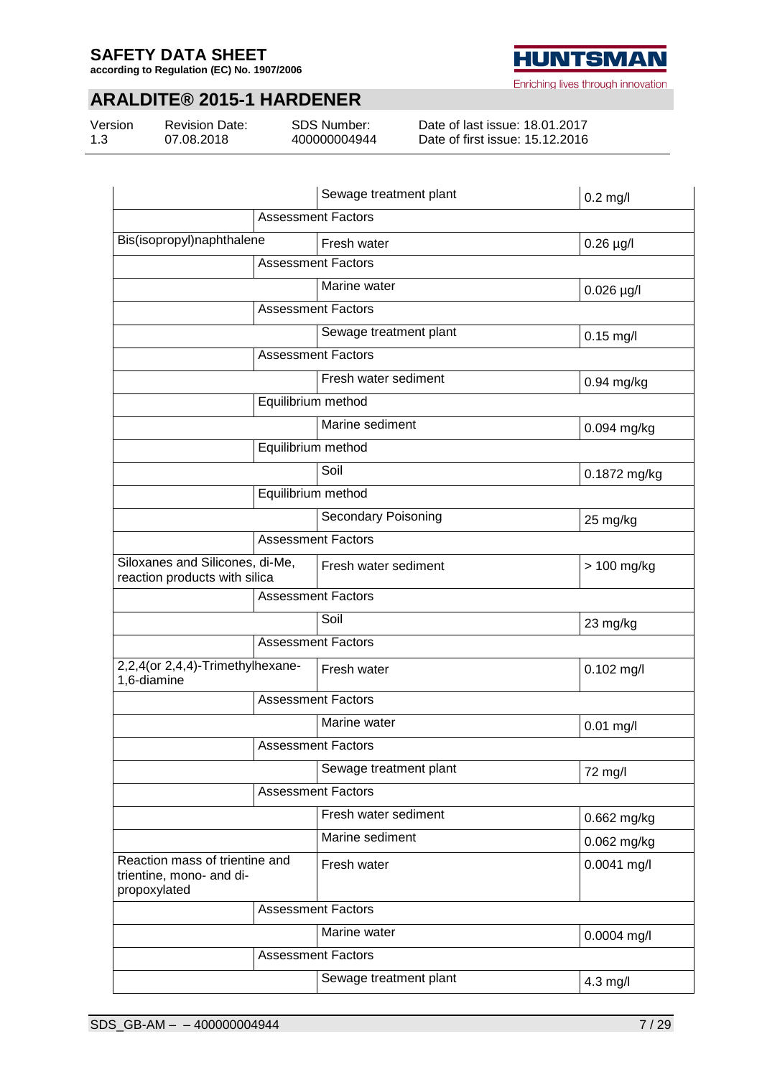**according to Regulation (EC) No. 1907/2006**



Enriching lives through innovation

# **ARALDITE® 2015-1 HARDENER**

| Version |  |
|---------|--|
| 1.3     |  |

Revision Date: 07.08.2018

SDS Number: 400000004944

Date of last issue: 18.01.2017 Date of first issue: 15.12.2016

|                                                                            | Sewage treatment plant     | $0.2$ mg/l   |
|----------------------------------------------------------------------------|----------------------------|--------------|
|                                                                            | <b>Assessment Factors</b>  |              |
| Bis(isopropyl)naphthalene                                                  | Fresh water                | $0.26$ µg/l  |
|                                                                            | <b>Assessment Factors</b>  |              |
|                                                                            | Marine water               | $0.026$ µg/l |
|                                                                            | <b>Assessment Factors</b>  |              |
|                                                                            | Sewage treatment plant     | $0.15$ mg/l  |
|                                                                            | <b>Assessment Factors</b>  |              |
|                                                                            | Fresh water sediment       | 0.94 mg/kg   |
|                                                                            | Equilibrium method         |              |
|                                                                            | Marine sediment            | 0.094 mg/kg  |
|                                                                            | Equilibrium method         |              |
|                                                                            | Soil                       | 0.1872 mg/kg |
|                                                                            | Equilibrium method         |              |
|                                                                            | <b>Secondary Poisoning</b> | 25 mg/kg     |
|                                                                            | <b>Assessment Factors</b>  |              |
| Siloxanes and Silicones, di-Me,<br>reaction products with silica           | Fresh water sediment       | > 100 mg/kg  |
| <b>Assessment Factors</b>                                                  |                            |              |
|                                                                            | Soil                       | 23 mg/kg     |
|                                                                            | <b>Assessment Factors</b>  |              |
| 2,2,4(or 2,4,4)-Trimethylhexane-<br>1,6-diamine                            | Fresh water                | $0.102$ mg/l |
|                                                                            | <b>Assessment Factors</b>  |              |
|                                                                            | Marine water               | $0.01$ mg/l  |
|                                                                            | <b>Assessment Factors</b>  |              |
|                                                                            | Sewage treatment plant     | 72 mg/l      |
|                                                                            | <b>Assessment Factors</b>  |              |
|                                                                            | Fresh water sediment       | 0.662 mg/kg  |
|                                                                            | Marine sediment            | 0.062 mg/kg  |
| Reaction mass of trientine and<br>trientine, mono- and di-<br>propoxylated | Fresh water                | 0.0041 mg/l  |
|                                                                            | <b>Assessment Factors</b>  |              |
|                                                                            | Marine water               | 0.0004 mg/l  |
|                                                                            | <b>Assessment Factors</b>  |              |
|                                                                            | Sewage treatment plant     | 4.3 mg/l     |
|                                                                            |                            |              |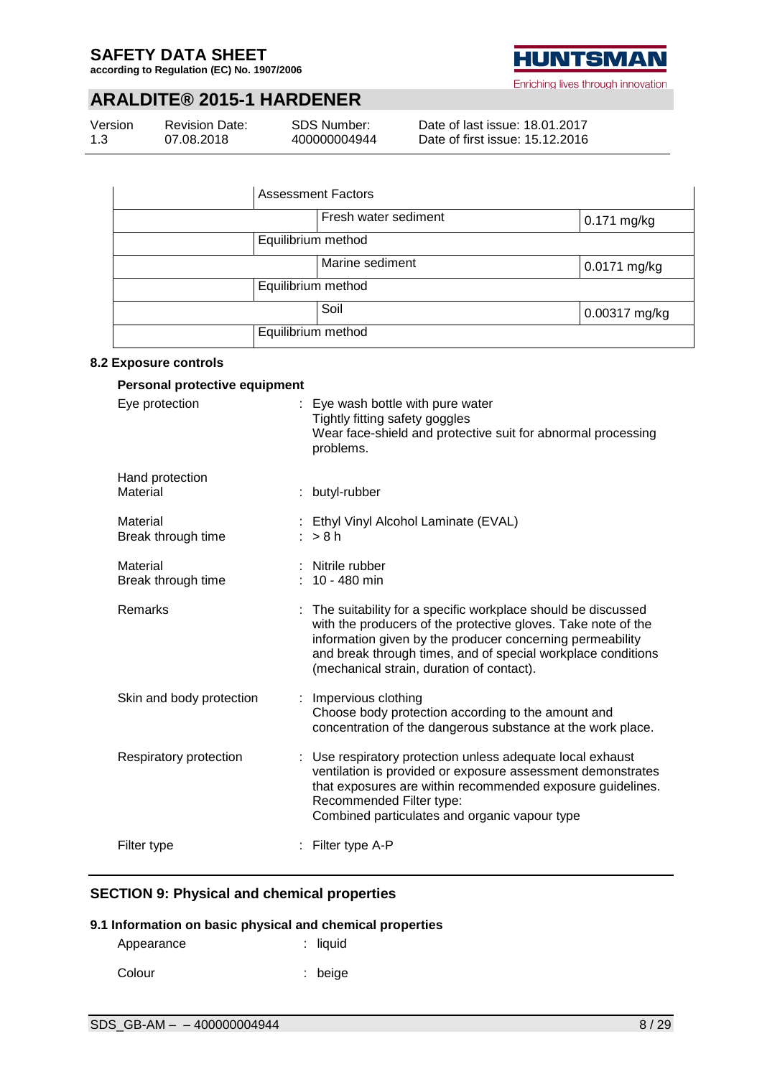**according to Regulation (EC) No. 1907/2006**



Enriching lives through innovation

## **ARALDITE® 2015-1 HARDENER**

| Version | Revi |
|---------|------|
| 1.3     | 07.0 |

sion Date: 07.08.2018

SDS Number: 400000004944

Date of last issue: 18.01.2017 Date of first issue: 15.12.2016

| <b>Assessment Factors</b>       |  |             |  |
|---------------------------------|--|-------------|--|
| Fresh water sediment            |  | 0.171 mg/kg |  |
| Equilibrium method              |  |             |  |
| Marine sediment<br>0.0171 mg/kg |  |             |  |
| Equilibrium method              |  |             |  |
| Soil<br>0.00317 mg/kg           |  |             |  |
| Equilibrium method              |  |             |  |

## **8.2 Exposure controls**

| Personal protective equipment  |                                                                                                                                                                                                                                                                                                         |
|--------------------------------|---------------------------------------------------------------------------------------------------------------------------------------------------------------------------------------------------------------------------------------------------------------------------------------------------------|
| Eye protection                 | Eye wash bottle with pure water<br>Tightly fitting safety goggles<br>Wear face-shield and protective suit for abnormal processing<br>problems.                                                                                                                                                          |
| Hand protection<br>Material    | butyl-rubber                                                                                                                                                                                                                                                                                            |
| Material<br>Break through time | Ethyl Vinyl Alcohol Laminate (EVAL)<br>>8h                                                                                                                                                                                                                                                              |
| Material<br>Break through time | Nitrile rubber<br>$: 10 - 480$ min                                                                                                                                                                                                                                                                      |
| Remarks                        | The suitability for a specific workplace should be discussed<br>with the producers of the protective gloves. Take note of the<br>information given by the producer concerning permeability<br>and break through times, and of special workplace conditions<br>(mechanical strain, duration of contact). |
| Skin and body protection       | Impervious clothing<br>Choose body protection according to the amount and<br>concentration of the dangerous substance at the work place.                                                                                                                                                                |
| Respiratory protection         | : Use respiratory protection unless adequate local exhaust<br>ventilation is provided or exposure assessment demonstrates<br>that exposures are within recommended exposure guidelines.<br>Recommended Filter type:<br>Combined particulates and organic vapour type                                    |
| Filter type                    | Filter type A-P                                                                                                                                                                                                                                                                                         |

## **SECTION 9: Physical and chemical properties**

## **9.1 Information on basic physical and chemical properties**

| Appearance | $:$ liquid |
|------------|------------|
| Colour     | $:$ beige  |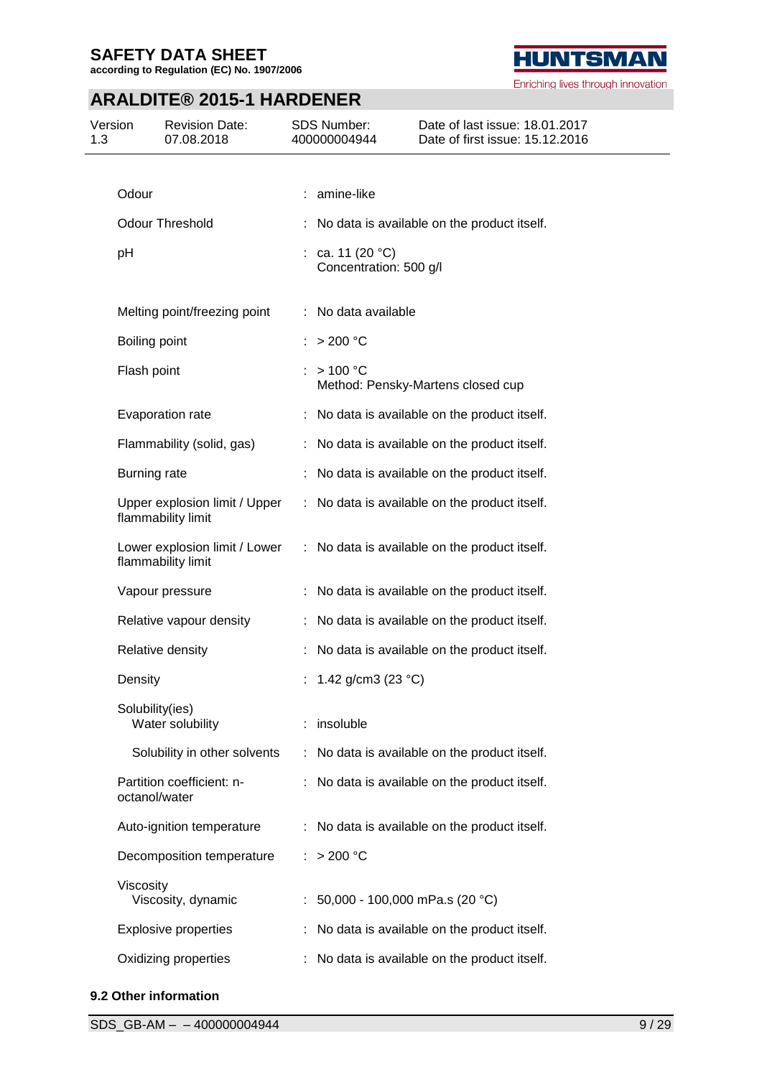**according to Regulation (EC) No. 1907/2006**



Enriching lives through innovation

# **ARALDITE® 2015-1 HARDENER**

| 1.3 | Version         | <b>Revision Date:</b><br>07.08.2018                 | SDS Number:<br>400000004944              | Date of last issue: 18.01.2017<br>Date of first issue: 15.12.2016 |
|-----|-----------------|-----------------------------------------------------|------------------------------------------|-------------------------------------------------------------------|
|     |                 |                                                     |                                          |                                                                   |
|     | Odour           |                                                     | : amine-like                             |                                                                   |
|     |                 | <b>Odour Threshold</b>                              |                                          | No data is available on the product itself.                       |
|     | pH              |                                                     | ca. 11 (20 °C)<br>Concentration: 500 g/l |                                                                   |
|     |                 | Melting point/freezing point                        | : No data available                      |                                                                   |
|     | Boiling point   |                                                     | $>$ 200 °C                               |                                                                   |
|     | Flash point     |                                                     | >100 °C                                  | Method: Pensky-Martens closed cup                                 |
|     |                 | Evaporation rate                                    |                                          | No data is available on the product itself.                       |
|     |                 | Flammability (solid, gas)                           |                                          | : No data is available on the product itself.                     |
|     | Burning rate    |                                                     |                                          | No data is available on the product itself.                       |
|     |                 | Upper explosion limit / Upper<br>flammability limit |                                          | : No data is available on the product itself.                     |
|     |                 | Lower explosion limit / Lower<br>flammability limit |                                          | : No data is available on the product itself.                     |
|     |                 | Vapour pressure                                     |                                          | No data is available on the product itself.                       |
|     |                 | Relative vapour density                             |                                          | No data is available on the product itself.                       |
|     |                 | Relative density                                    |                                          | No data is available on the product itself.                       |
|     | Density         |                                                     | 1.42 g/cm3 (23 $^{\circ}$ C)             |                                                                   |
|     | Solubility(ies) | Water solubility                                    | : insoluble                              |                                                                   |
|     |                 | Solubility in other solvents                        |                                          | : No data is available on the product itself.                     |
|     | octanol/water   | Partition coefficient: n-                           |                                          | No data is available on the product itself.                       |
|     |                 | Auto-ignition temperature                           |                                          | No data is available on the product itself.                       |
|     |                 | Decomposition temperature                           | >200 °C                                  |                                                                   |
|     | Viscosity       | Viscosity, dynamic                                  | : $50,000 - 100,000$ mPa.s (20 °C)       |                                                                   |
|     |                 | <b>Explosive properties</b>                         |                                          | No data is available on the product itself.                       |
|     |                 | Oxidizing properties                                |                                          | No data is available on the product itself.                       |

## **9.2 Other information**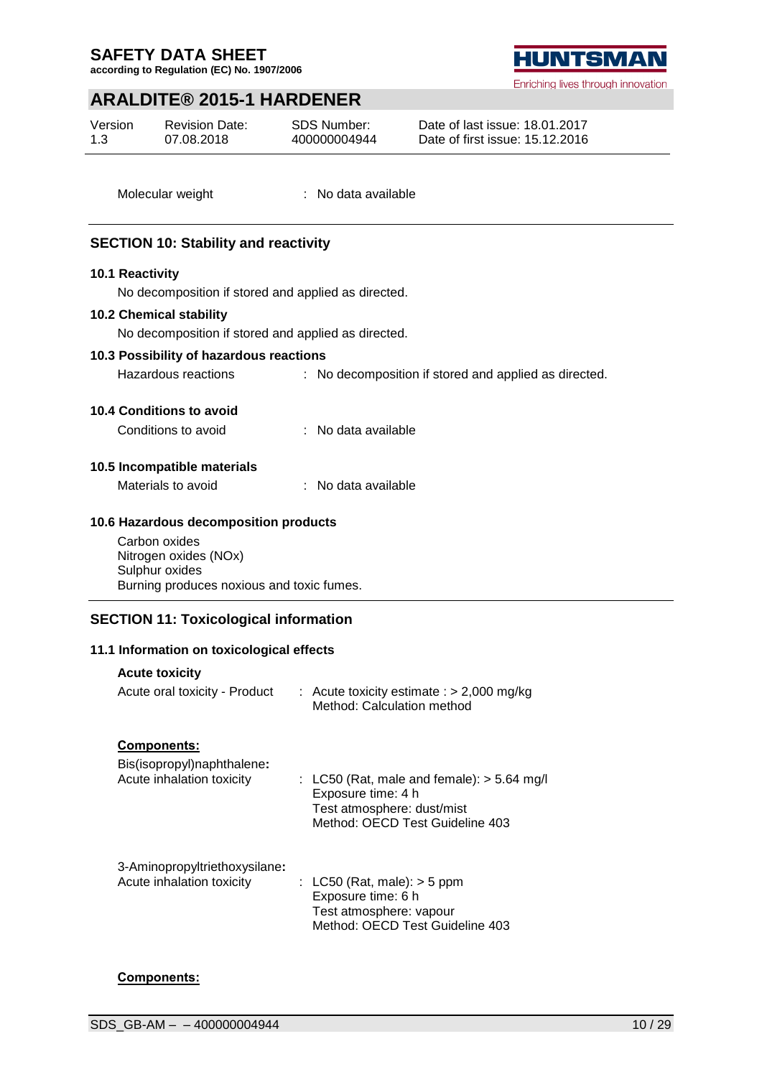**according to Regulation (EC) No. 1907/2006**

## **ARALDITE® 2015-1 HARDENER**

| Version | <b>Revision Date:</b> |
|---------|-----------------------|
| 1.3     | 07.08.2018            |

SDS Number: 400000004944 Date of last issue: 18.01.2017 Date of first issue: 15.12.2016

Molecular weight : No data available

## **SECTION 10: Stability and reactivity**

#### **10.1 Reactivity**

No decomposition if stored and applied as directed.

#### **10.2 Chemical stability**

No decomposition if stored and applied as directed.

#### **10.3 Possibility of hazardous reactions**

Hazardous reactions : No decomposition if stored and applied as directed.

#### **10.4 Conditions to avoid**

Conditions to avoid : No data available

## **10.5 Incompatible materials**

Materials to avoid : No data available

#### **10.6 Hazardous decomposition products**

Carbon oxides Nitrogen oxides (NOx) Sulphur oxides Burning produces noxious and toxic fumes.

## **SECTION 11: Toxicological information**

#### **11.1 Information on toxicological effects**

## **Acute toxicity**

| Acute oral toxicity - Product                              | : Acute toxicity estimate : $> 2,000$ mg/kg<br>Method: Calculation method                                                          |
|------------------------------------------------------------|------------------------------------------------------------------------------------------------------------------------------------|
| <b>Components:</b><br>Bis(isopropyl)naphthalene:           |                                                                                                                                    |
| Acute inhalation toxicity                                  | : LC50 (Rat, male and female): $>$ 5.64 mg/<br>Exposure time: 4 h<br>Test atmosphere: dust/mist<br>Method: OECD Test Guideline 403 |
| 3-Aminopropyltriethoxysilane:<br>Acute inhalation toxicity | : LC50 (Rat, male): $>$ 5 ppm<br>Exposure time: 6 h<br>Test atmosphere: vapour<br>Method: OECD Test Guideline 403                  |

## **Components:**

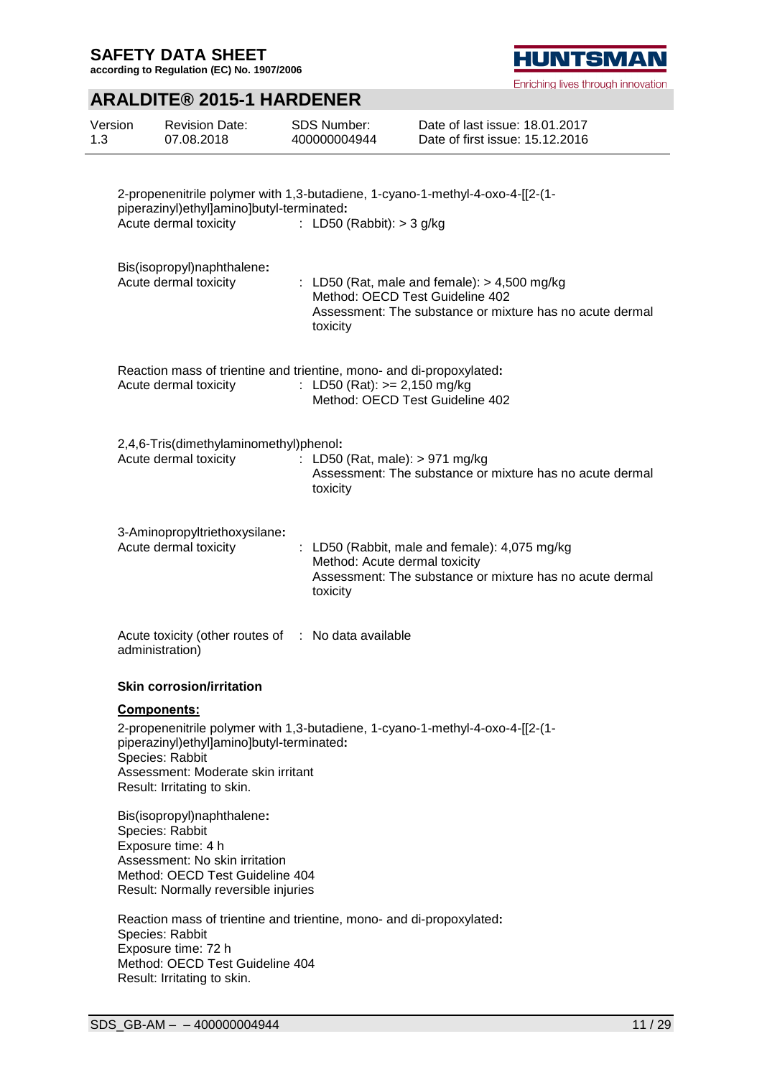**according to Regulation (EC) No. 1907/2006**

# **ARALDITE® 2015-1 HARDENER**

| Version<br>1.3 | <b>Revision Date:</b><br>07.08.2018                                                                                                                                              | <b>SDS Number:</b><br>400000004944            | Date of last issue: 18.01.2017<br>Date of first issue: 15.12.2016                                                                             |
|----------------|----------------------------------------------------------------------------------------------------------------------------------------------------------------------------------|-----------------------------------------------|-----------------------------------------------------------------------------------------------------------------------------------------------|
|                | piperazinyl)ethyl]amino]butyl-terminated:<br>Acute dermal toxicity                                                                                                               | : LD50 (Rabbit): $>$ 3 g/kg                   | 2-propenenitrile polymer with 1,3-butadiene, 1-cyano-1-methyl-4-oxo-4-[[2-(1-                                                                 |
|                | Bis(isopropyl)naphthalene:<br>Acute dermal toxicity                                                                                                                              | toxicity                                      | : LD50 (Rat, male and female): $> 4,500$ mg/kg<br>Method: OECD Test Guideline 402<br>Assessment: The substance or mixture has no acute dermal |
|                | Reaction mass of trientine and trientine, mono- and di-propoxylated:<br>Acute dermal toxicity                                                                                    | : LD50 (Rat): $>= 2,150$ mg/kg                | Method: OECD Test Guideline 402                                                                                                               |
|                | 2,4,6-Tris(dimethylaminomethyl)phenol:<br>Acute dermal toxicity                                                                                                                  | : LD50 (Rat, male): $> 971$ mg/kg<br>toxicity | Assessment: The substance or mixture has no acute dermal                                                                                      |
|                | 3-Aminopropyltriethoxysilane:<br>Acute dermal toxicity                                                                                                                           | Method: Acute dermal toxicity<br>toxicity     | : LD50 (Rabbit, male and female): 4,075 mg/kg<br>Assessment: The substance or mixture has no acute dermal                                     |
|                | Acute toxicity (other routes of : No data available<br>administration)                                                                                                           |                                               |                                                                                                                                               |
|                | <b>Skin corrosion/irritation</b>                                                                                                                                                 |                                               |                                                                                                                                               |
|                | <b>Components:</b><br>piperazinyl)ethyl]amino]butyl-terminated:<br>Species: Rabbit<br>Assessment: Moderate skin irritant<br>Result: Irritating to skin.                          |                                               | 2-propenenitrile polymer with 1,3-butadiene, 1-cyano-1-methyl-4-oxo-4-[[2-(1-                                                                 |
|                | Bis(isopropyl)naphthalene:<br>Species: Rabbit<br>Exposure time: 4 h<br>Assessment: No skin irritation<br>Method: OECD Test Guideline 404<br>Result: Normally reversible injuries |                                               |                                                                                                                                               |
|                | Reaction mass of trientine and trientine, mono- and di-propoxylated:<br>Species: Rabbit<br>Exposure time: 72 h<br>Method: OECD Test Guideline 404<br>Result: Irritating to skin. |                                               |                                                                                                                                               |

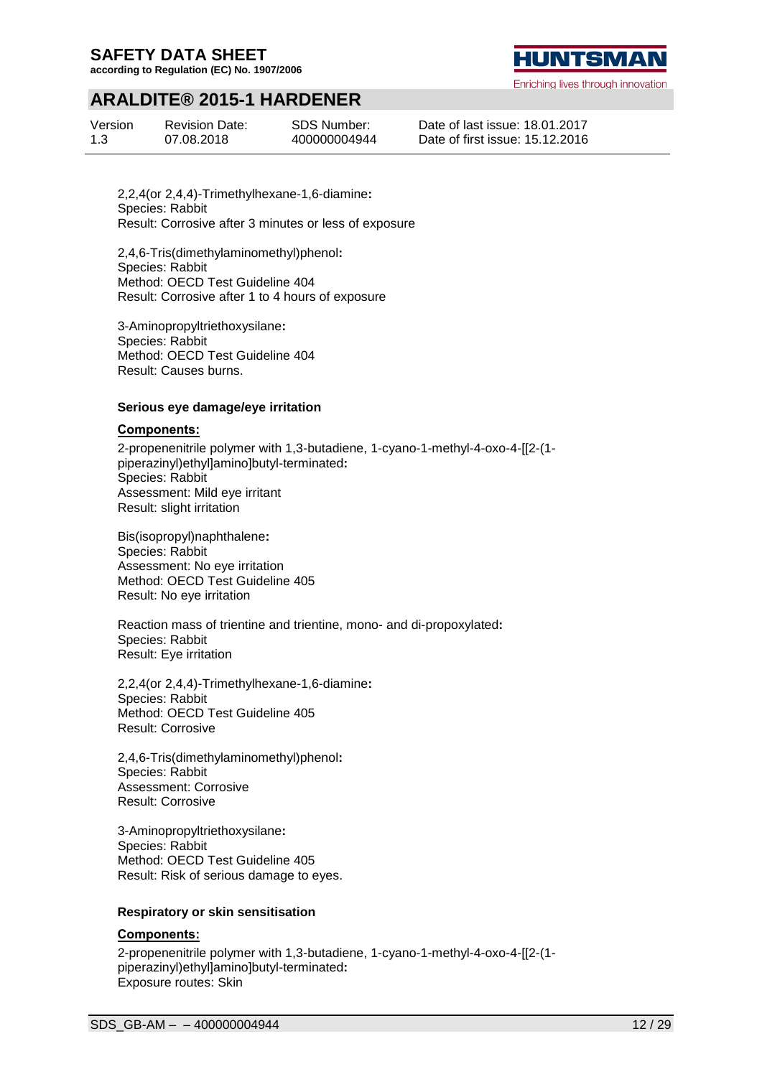**according to Regulation (EC) No. 1907/2006**

## **ARALDITE® 2015-1 HARDENER**

| Version | <b>Revision Date:</b> | SDS Number:  |
|---------|-----------------------|--------------|
| 1.3     | 07.08.2018            | 400000004944 |

**HUNTSMA** 

Enriching lives through innovation

Date of last issue: 18.01.2017 Date of first issue: 15.12.2016

2,2,4(or 2,4,4)-Trimethylhexane-1,6-diamine**:** Species: Rabbit Result: Corrosive after 3 minutes or less of exposure

2,4,6-Tris(dimethylaminomethyl)phenol**:** Species: Rabbit Method: OECD Test Guideline 404 Result: Corrosive after 1 to 4 hours of exposure

3-Aminopropyltriethoxysilane**:** Species: Rabbit Method: OECD Test Guideline 404 Result: Causes burns.

#### **Serious eye damage/eye irritation**

#### **Components:**

2-propenenitrile polymer with 1,3-butadiene, 1-cyano-1-methyl-4-oxo-4-[[2-(1 piperazinyl)ethyl]amino]butyl-terminated**:** Species: Rabbit Assessment: Mild eye irritant Result: slight irritation

Bis(isopropyl)naphthalene**:** Species: Rabbit Assessment: No eye irritation Method: OECD Test Guideline 405 Result: No eye irritation

Reaction mass of trientine and trientine, mono- and di-propoxylated**:** Species: Rabbit Result: Eye irritation

2,2,4(or 2,4,4)-Trimethylhexane-1,6-diamine**:** Species: Rabbit Method: OECD Test Guideline 405 Result: Corrosive

2,4,6-Tris(dimethylaminomethyl)phenol**:** Species: Rabbit Assessment: Corrosive Result: Corrosive

3-Aminopropyltriethoxysilane**:** Species: Rabbit Method: OECD Test Guideline 405 Result: Risk of serious damage to eyes.

#### **Respiratory or skin sensitisation**

## **Components:**

2-propenenitrile polymer with 1,3-butadiene, 1-cyano-1-methyl-4-oxo-4-[[2-(1 piperazinyl)ethyl]amino]butyl-terminated**:** Exposure routes: Skin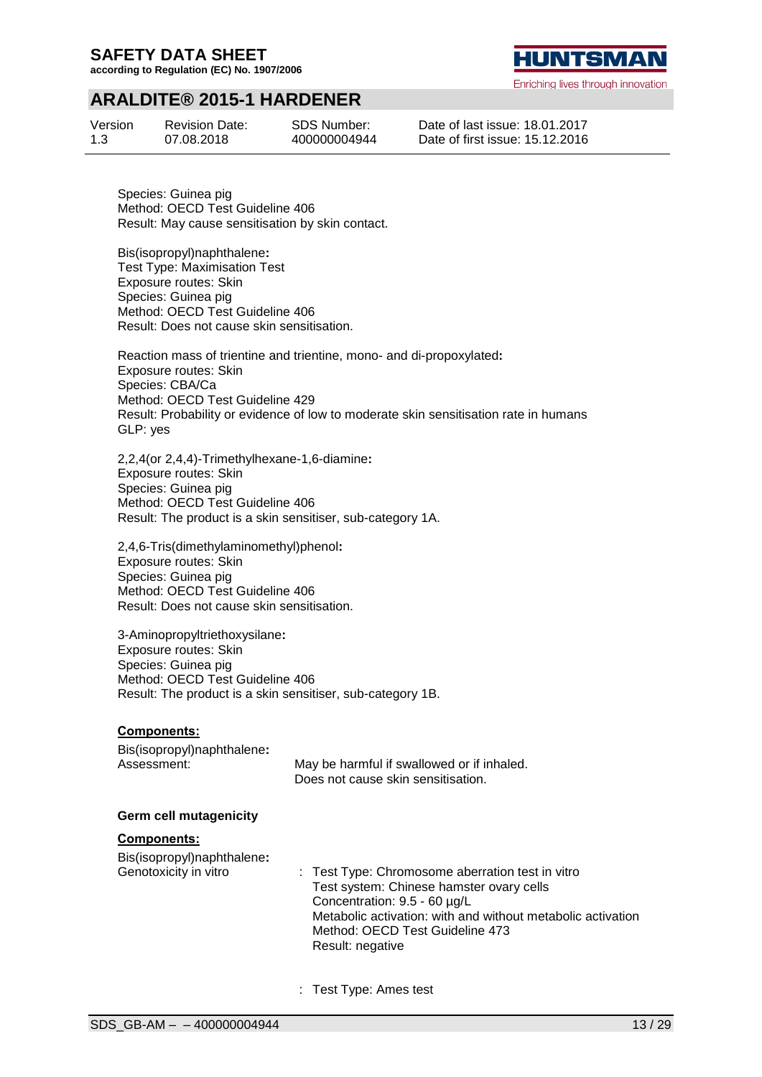**according to Regulation (EC) No. 1907/2006**



Enriching lives through innovation

## **ARALDITE® 2015-1 HARDENER**

| Version | <b>Revision Date:</b> | <b>SDS Number:</b> |
|---------|-----------------------|--------------------|
| 1.3     | 07.08.2018            | 400000004944       |

Date of last issue: 18.01.2017 Date of first issue: 15.12.2016

Species: Guinea pig Method: OECD Test Guideline 406 Result: May cause sensitisation by skin contact.

Bis(isopropyl)naphthalene**:** Test Type: Maximisation Test Exposure routes: Skin Species: Guinea pig Method: OECD Test Guideline 406 Result: Does not cause skin sensitisation.

Reaction mass of trientine and trientine, mono- and di-propoxylated**:** Exposure routes: Skin Species: CBA/Ca Method: OECD Test Guideline 429 Result: Probability or evidence of low to moderate skin sensitisation rate in humans GLP: yes

2,2,4(or 2,4,4)-Trimethylhexane-1,6-diamine**:** Exposure routes: Skin Species: Guinea pig Method: OECD Test Guideline 406 Result: The product is a skin sensitiser, sub-category 1A.

2,4,6-Tris(dimethylaminomethyl)phenol**:** Exposure routes: Skin Species: Guinea pig Method: OECD Test Guideline 406 Result: Does not cause skin sensitisation.

3-Aminopropyltriethoxysilane**:** Exposure routes: Skin Species: Guinea pig Method: OECD Test Guideline 406 Result: The product is a skin sensitiser, sub-category 1B.

## **Components:**

| Bis(isopropyl)naphthalene: |                                            |
|----------------------------|--------------------------------------------|
| Assessment:                | May be harmful if swallowed or if inhaled. |
|                            | Does not cause skin sensitisation.         |

#### **Germ cell mutagenicity**

#### **Components:**

Bis(isopropyl)naphthalene**:**

- Genotoxicity in vitro : Test Type: Chromosome aberration test in vitro Test system: Chinese hamster ovary cells Concentration: 9.5 - 60 µg/L Metabolic activation: with and without metabolic activation Method: OECD Test Guideline 473 Result: negative
	- : Test Type: Ames test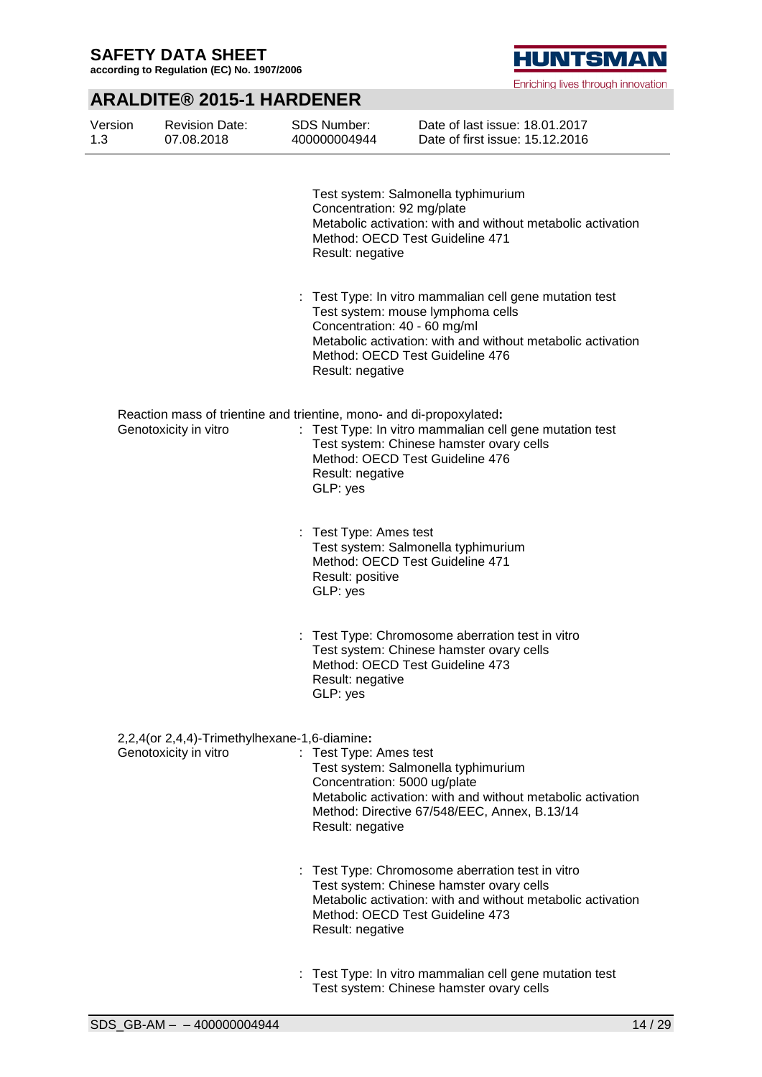**according to Regulation (EC) No. 1907/2006**



Enriching lives through innovation

# **ARALDITE® 2015-1 HARDENER**

| Version<br>1.3 | <b>Revision Date:</b><br>07.08.2018                                   | <b>SDS Number:</b><br>400000004944                                                                   | Date of last issue: 18.01.2017<br>Date of first issue: 15.12.2016                                                                                                                              |
|----------------|-----------------------------------------------------------------------|------------------------------------------------------------------------------------------------------|------------------------------------------------------------------------------------------------------------------------------------------------------------------------------------------------|
|                |                                                                       | Concentration: 92 mg/plate<br>Result: negative                                                       | Test system: Salmonella typhimurium<br>Metabolic activation: with and without metabolic activation<br>Method: OECD Test Guideline 471                                                          |
|                |                                                                       | Concentration: 40 - 60 mg/ml<br>Result: negative                                                     | : Test Type: In vitro mammalian cell gene mutation test<br>Test system: mouse lymphoma cells<br>Metabolic activation: with and without metabolic activation<br>Method: OECD Test Guideline 476 |
|                | Genotoxicity in vitro                                                 | Reaction mass of trientine and trientine, mono- and di-propoxylated:<br>Result: negative<br>GLP: yes | : Test Type: In vitro mammalian cell gene mutation test<br>Test system: Chinese hamster ovary cells<br>Method: OECD Test Guideline 476                                                         |
|                |                                                                       | : Test Type: Ames test<br>Result: positive<br>GLP: yes                                               | Test system: Salmonella typhimurium<br>Method: OECD Test Guideline 471                                                                                                                         |
|                |                                                                       | Result: negative<br>GLP: yes                                                                         | : Test Type: Chromosome aberration test in vitro<br>Test system: Chinese hamster ovary cells<br>Method: OECD Test Guideline 473                                                                |
|                | 2,2,4(or 2,4,4)-Trimethylhexane-1,6-diamine:<br>Genotoxicity in vitro | : Test Type: Ames test<br>Concentration: 5000 ug/plate<br>Result: negative                           | Test system: Salmonella typhimurium<br>Metabolic activation: with and without metabolic activation<br>Method: Directive 67/548/EEC, Annex, B.13/14                                             |
|                |                                                                       | Result: negative                                                                                     | : Test Type: Chromosome aberration test in vitro<br>Test system: Chinese hamster ovary cells<br>Metabolic activation: with and without metabolic activation<br>Method: OECD Test Guideline 473 |
|                |                                                                       |                                                                                                      | : Test Type: In vitro mammalian cell gene mutation test                                                                                                                                        |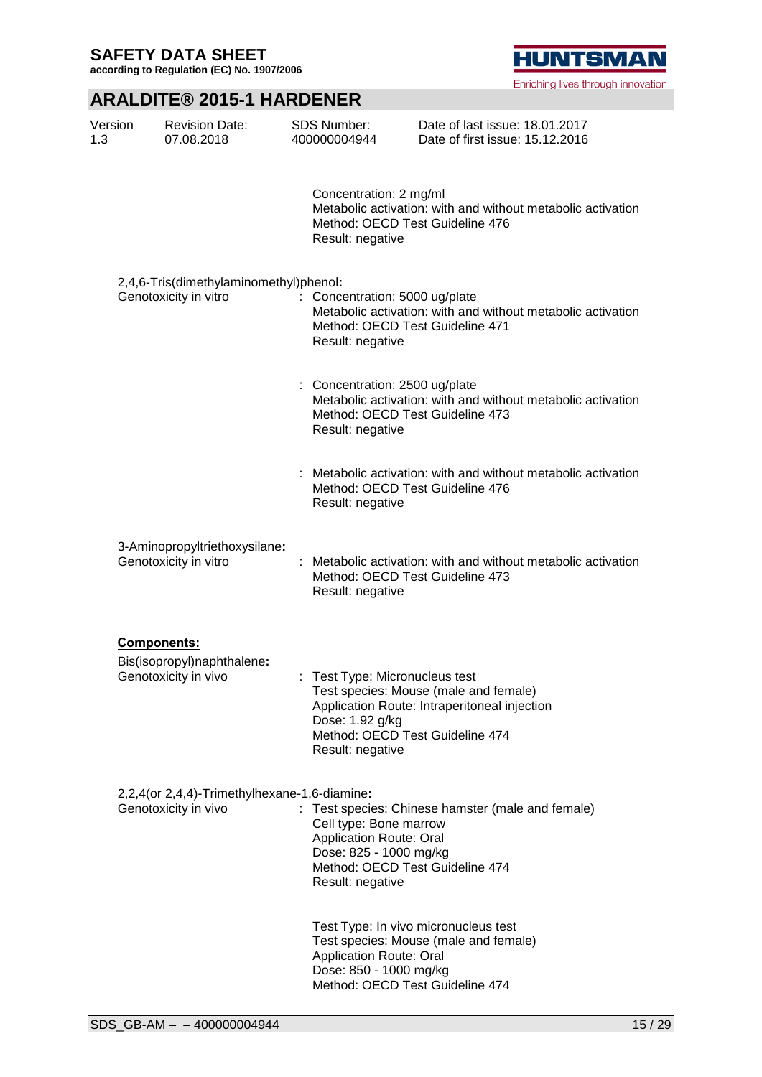**according to Regulation (EC) No. 1907/2006**

# **HUNTSMAN**

Enriching lives through innovation

# **ARALDITE® 2015-1 HARDENER**

| Version<br>1.3 | <b>Revision Date:</b><br>07.08.2018                                  | <b>SDS Number:</b><br>400000004944                                                                     | Date of last issue: 18.01.2017<br>Date of first issue: 15.12.2016                                                        |
|----------------|----------------------------------------------------------------------|--------------------------------------------------------------------------------------------------------|--------------------------------------------------------------------------------------------------------------------------|
|                |                                                                      | Concentration: 2 mg/ml<br>Result: negative                                                             | Metabolic activation: with and without metabolic activation<br>Method: OECD Test Guideline 476                           |
|                | 2,4,6-Tris(dimethylaminomethyl)phenol:<br>Genotoxicity in vitro      | Concentration: 5000 ug/plate<br>÷<br>Result: negative                                                  | Metabolic activation: with and without metabolic activation<br>Method: OECD Test Guideline 471                           |
|                |                                                                      | : Concentration: 2500 ug/plate<br>Result: negative                                                     | Metabolic activation: with and without metabolic activation<br>Method: OECD Test Guideline 473                           |
|                |                                                                      | Result: negative                                                                                       | Metabolic activation: with and without metabolic activation<br>Method: OECD Test Guideline 476                           |
|                | 3-Aminopropyltriethoxysilane:<br>Genotoxicity in vitro               | Result: negative                                                                                       | Metabolic activation: with and without metabolic activation<br>Method: OECD Test Guideline 473                           |
|                | Components:<br>Bis(isopropyl)naphthalene:<br>Genotoxicity in vivo    | : Test Type: Micronucleus test<br>Dose: 1.92 g/kg<br>Result: negative                                  | Test species: Mouse (male and female)<br>Application Route: Intraperitoneal injection<br>Method: OECD Test Guideline 474 |
|                | 2,2,4(or 2,4,4)-Trimethylhexane-1,6-diamine:<br>Genotoxicity in vivo | Cell type: Bone marrow<br><b>Application Route: Oral</b><br>Dose: 825 - 1000 mg/kg<br>Result: negative | Test species: Chinese hamster (male and female)<br>Method: OECD Test Guideline 474                                       |
|                |                                                                      | <b>Application Route: Oral</b><br>Dose: 850 - 1000 mg/kg                                               | Test Type: In vivo micronucleus test<br>Test species: Mouse (male and female)<br>Method: OECD Test Guideline 474         |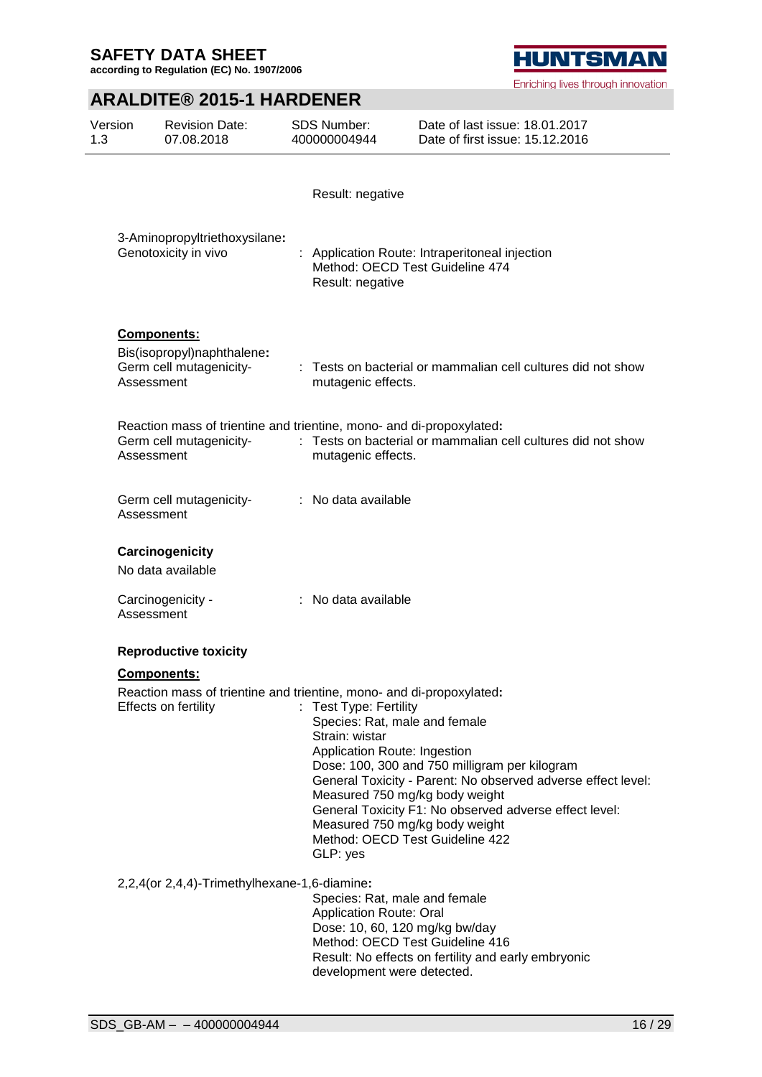**according to Regulation (EC) No. 1907/2006**

# **ARALDITE® 2015-1 HARDENER**

| Version<br>1.3 | <b>Revision Date:</b><br>07.08.2018                                                                           | <b>SDS Number:</b><br>400000004944                                                                                                                                                                                           | Date of last issue: 18.01.2017<br>Date of first issue: 15.12.2016                                                                                                       |
|----------------|---------------------------------------------------------------------------------------------------------------|------------------------------------------------------------------------------------------------------------------------------------------------------------------------------------------------------------------------------|-------------------------------------------------------------------------------------------------------------------------------------------------------------------------|
|                |                                                                                                               | Result: negative                                                                                                                                                                                                             |                                                                                                                                                                         |
|                | 3-Aminopropyltriethoxysilane:<br>Genotoxicity in vivo                                                         | Method: OECD Test Guideline 474<br>Result: negative                                                                                                                                                                          | : Application Route: Intraperitoneal injection                                                                                                                          |
|                | Components:<br>Bis(isopropyl)naphthalene:<br>Germ cell mutagenicity-<br>Assessment                            | mutagenic effects.                                                                                                                                                                                                           | : Tests on bacterial or mammalian cell cultures did not show                                                                                                            |
|                | Reaction mass of trientine and trientine, mono- and di-propoxylated:<br>Germ cell mutagenicity-<br>Assessment | mutagenic effects.                                                                                                                                                                                                           | : Tests on bacterial or mammalian cell cultures did not show                                                                                                            |
|                | Germ cell mutagenicity-<br>Assessment                                                                         | : No data available                                                                                                                                                                                                          |                                                                                                                                                                         |
|                | Carcinogenicity<br>No data available                                                                          |                                                                                                                                                                                                                              |                                                                                                                                                                         |
|                | Carcinogenicity -<br>Assessment                                                                               | : No data available                                                                                                                                                                                                          |                                                                                                                                                                         |
|                | <b>Reproductive toxicity</b>                                                                                  |                                                                                                                                                                                                                              |                                                                                                                                                                         |
|                | <b>Components:</b>                                                                                            |                                                                                                                                                                                                                              |                                                                                                                                                                         |
|                | Reaction mass of trientine and trientine, mono- and di-propoxylated:<br>Effects on fertility                  | : Test Type: Fertility<br>Species: Rat, male and female<br>Strain: wistar<br>Application Route: Ingestion<br>Measured 750 mg/kg body weight<br>Measured 750 mg/kg body weight<br>Method: OECD Test Guideline 422<br>GLP: yes | Dose: 100, 300 and 750 milligram per kilogram<br>General Toxicity - Parent: No observed adverse effect level:<br>General Toxicity F1: No observed adverse effect level: |
|                | 2,2,4(or 2,4,4)-Trimethylhexane-1,6-diamine:                                                                  | Species: Rat, male and female<br>Application Route: Oral<br>Dose: 10, 60, 120 mg/kg bw/day<br>Method: OECD Test Guideline 416<br>development were detected.                                                                  | Result: No effects on fertility and early embryonic                                                                                                                     |

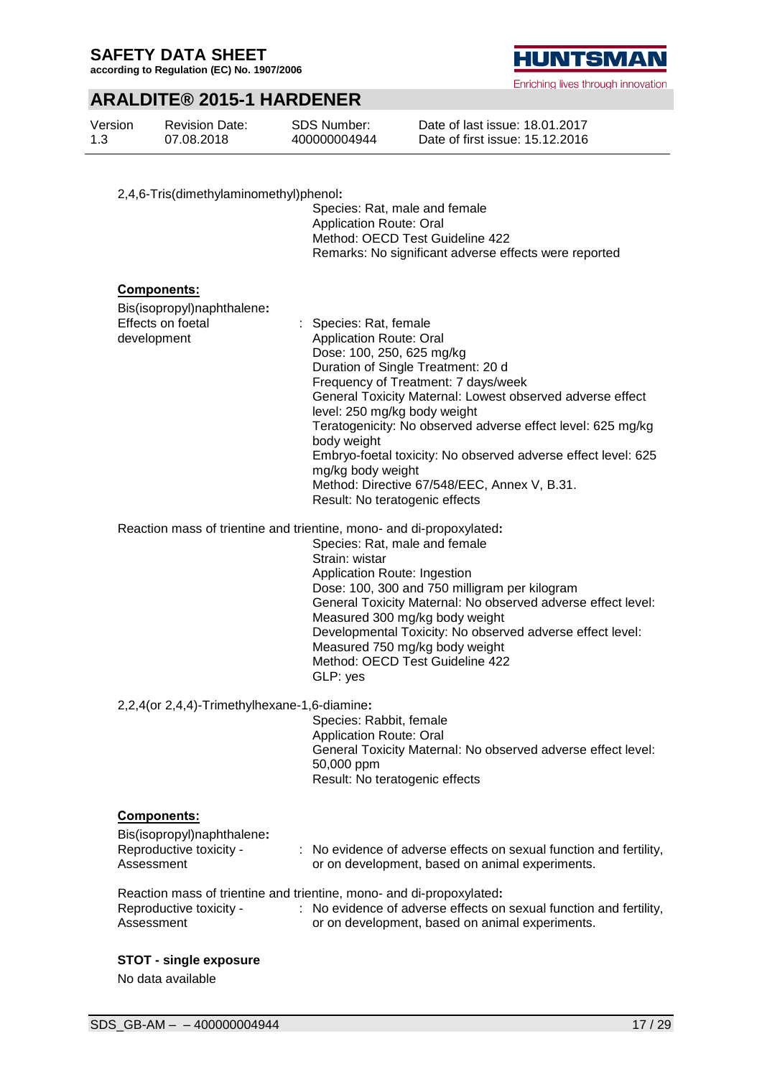**according to Regulation (EC) No. 1907/2006**

## **ARALDITE® 2015-1 HARDENER**

| Version<br>1.3 | <b>Revision Date:</b><br>07.08.2018                                                                                                                               | SDS Number:<br>400000004944                                                                  | Date of last issue: 18.01.2017<br>Date of first issue: 15.12.2016                                                                                                                                                                                                                                                                                                                                                     |
|----------------|-------------------------------------------------------------------------------------------------------------------------------------------------------------------|----------------------------------------------------------------------------------------------|-----------------------------------------------------------------------------------------------------------------------------------------------------------------------------------------------------------------------------------------------------------------------------------------------------------------------------------------------------------------------------------------------------------------------|
|                | 2,4,6-Tris(dimethylaminomethyl)phenol:                                                                                                                            | <b>Application Route: Oral</b>                                                               | Species: Rat, male and female<br>Method: OECD Test Guideline 422<br>Remarks: No significant adverse effects were reported                                                                                                                                                                                                                                                                                             |
|                | <b>Components:</b><br>Bis(isopropyl)naphthalene:<br>Effects on foetal<br>development                                                                              | : Species: Rat, female<br><b>Application Route: Oral</b><br>body weight<br>mg/kg body weight | Dose: 100, 250, 625 mg/kg<br>Duration of Single Treatment: 20 d<br>Frequency of Treatment: 7 days/week<br>General Toxicity Maternal: Lowest observed adverse effect<br>level: 250 mg/kg body weight<br>Teratogenicity: No observed adverse effect level: 625 mg/kg<br>Embryo-foetal toxicity: No observed adverse effect level: 625<br>Method: Directive 67/548/EEC, Annex V, B.31.<br>Result: No teratogenic effects |
|                | Reaction mass of trientine and trientine, mono- and di-propoxylated:                                                                                              | Strain: wistar<br>GLP: yes                                                                   | Species: Rat, male and female<br>Application Route: Ingestion<br>Dose: 100, 300 and 750 milligram per kilogram<br>General Toxicity Maternal: No observed adverse effect level:<br>Measured 300 mg/kg body weight<br>Developmental Toxicity: No observed adverse effect level:<br>Measured 750 mg/kg body weight<br>Method: OECD Test Guideline 422                                                                    |
|                | 2,2,4(or 2,4,4)-Trimethylhexane-1,6-diamine:                                                                                                                      | Species: Rabbit, female<br><b>Application Route: Oral</b><br>50,000 ppm                      | General Toxicity Maternal: No observed adverse effect level:<br>Result: No teratogenic effects                                                                                                                                                                                                                                                                                                                        |
|                | <b>Components:</b><br>Bis(isopropyl)naphthalene:<br>Reproductive toxicity -<br>Assessment<br>Reaction mass of trientine and trientine, mono- and di-propoxylated: |                                                                                              | : No evidence of adverse effects on sexual function and fertility,<br>or on development, based on animal experiments.                                                                                                                                                                                                                                                                                                 |
|                | Reproductive toxicity -<br>Assessment<br><b>STOT - single exposure</b>                                                                                            |                                                                                              | : No evidence of adverse effects on sexual function and fertility,<br>or on development, based on animal experiments.                                                                                                                                                                                                                                                                                                 |

No data available

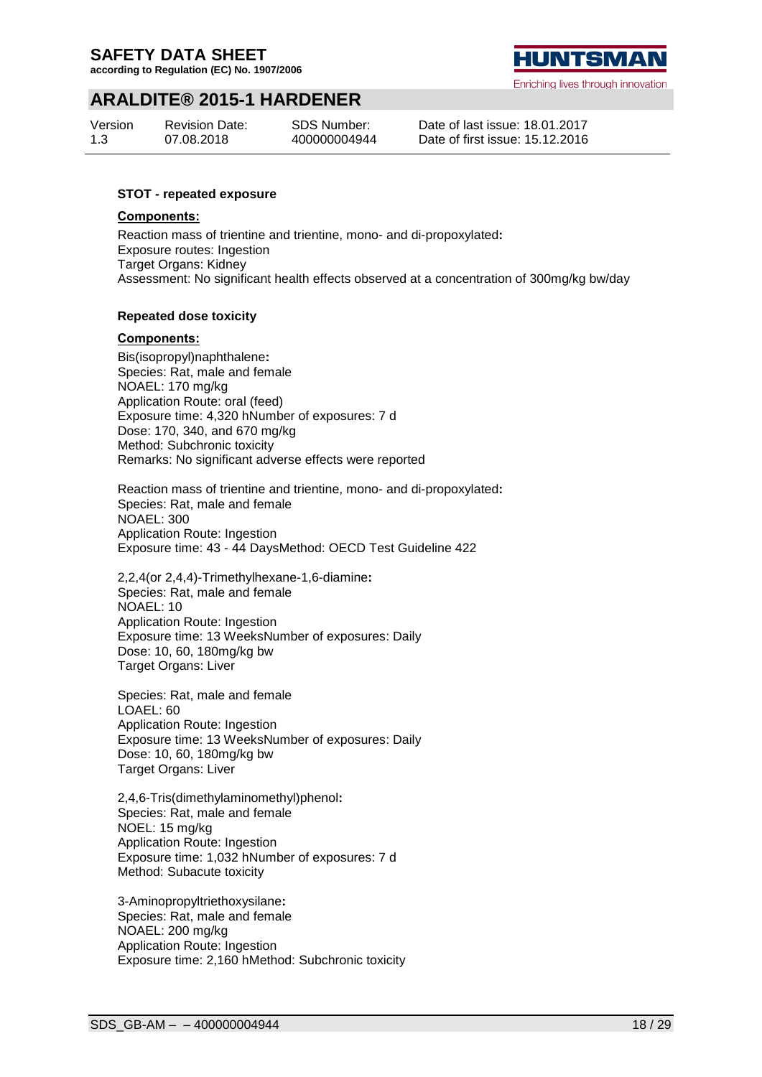**according to Regulation (EC) No. 1907/2006**

# HUNTSMA

Enriching lives through innovation

## **ARALDITE® 2015-1 HARDENER**

| Version | <b>Revision Date:</b> | SDS Number:  |
|---------|-----------------------|--------------|
| 1.3     | 07.08.2018            | 400000004944 |

Date of last issue: 18.01.2017 Date of first issue: 15.12.2016

#### **STOT - repeated exposure**

#### **Components:**

Reaction mass of trientine and trientine, mono- and di-propoxylated**:** Exposure routes: Ingestion Target Organs: Kidney Assessment: No significant health effects observed at a concentration of 300mg/kg bw/day

#### **Repeated dose toxicity**

#### **Components:**

Bis(isopropyl)naphthalene**:** Species: Rat, male and female NOAEL: 170 mg/kg Application Route: oral (feed) Exposure time: 4,320 hNumber of exposures: 7 d Dose: 170, 340, and 670 mg/kg Method: Subchronic toxicity Remarks: No significant adverse effects were reported

Reaction mass of trientine and trientine, mono- and di-propoxylated**:** Species: Rat, male and female NOAEL: 300 Application Route: Ingestion Exposure time: 43 - 44 DaysMethod: OECD Test Guideline 422

2,2,4(or 2,4,4)-Trimethylhexane-1,6-diamine**:** Species: Rat, male and female NOAEL: 10 Application Route: Ingestion Exposure time: 13 WeeksNumber of exposures: Daily Dose: 10, 60, 180mg/kg bw Target Organs: Liver

Species: Rat, male and female LOAEL: 60 Application Route: Ingestion Exposure time: 13 WeeksNumber of exposures: Daily Dose: 10, 60, 180mg/kg bw Target Organs: Liver

2,4,6-Tris(dimethylaminomethyl)phenol**:** Species: Rat, male and female NOEL: 15 mg/kg Application Route: Ingestion Exposure time: 1,032 hNumber of exposures: 7 d Method: Subacute toxicity

3-Aminopropyltriethoxysilane**:** Species: Rat, male and female NOAEL: 200 mg/kg Application Route: Ingestion Exposure time: 2,160 hMethod: Subchronic toxicity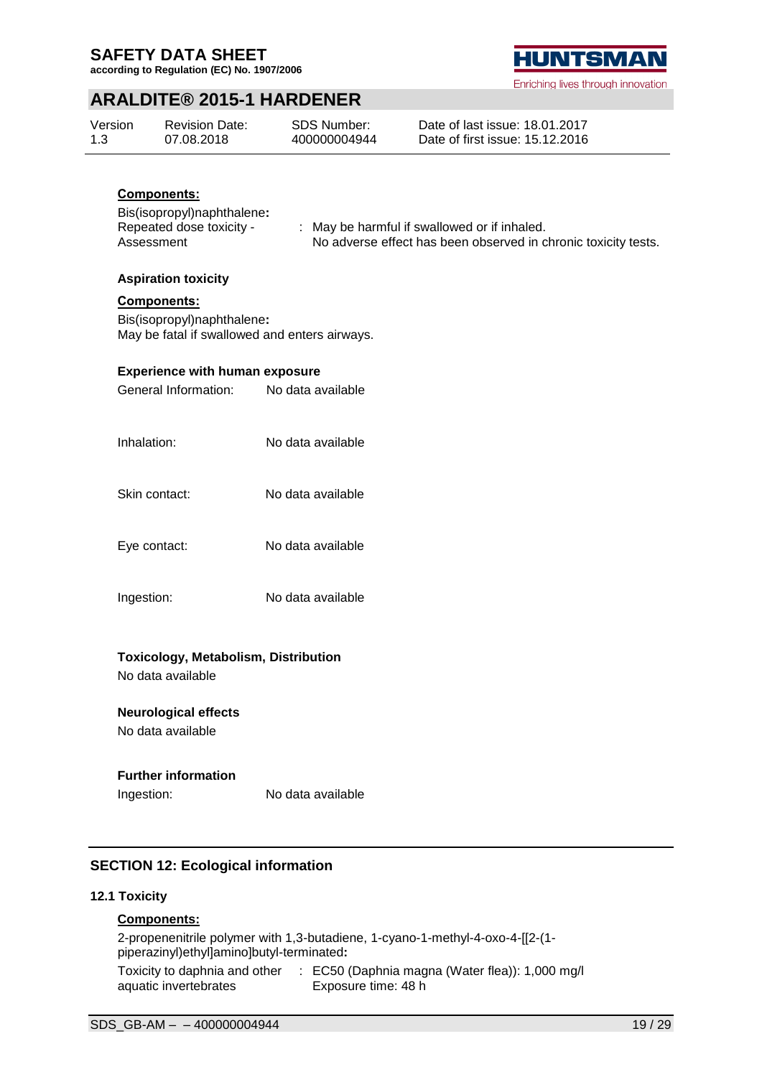**according to Regulation (EC) No. 1907/2006**



Enriching lives through innovation

## **ARALDITE® 2015-1 HARDENER**

| Version | <b>Revision Date:</b> | SDS Number:  | Date of last issue: 18.01.2017  |
|---------|-----------------------|--------------|---------------------------------|
| 1.3     | 07.08.2018            | 400000004944 | Date of first issue: 15.12.2016 |

## **Components:**

Bis(isopropyl)naphthalene**:** Repeated dose toxicity - Assessment

: May be harmful if swallowed or if inhaled. No adverse effect has been observed in chronic toxicity tests.

#### **Aspiration toxicity**

#### **Components:**

Bis(isopropyl)naphthalene**:** May be fatal if swallowed and enters airways.

#### **Experience with human exposure**

| General Information:                                             | No data available |
|------------------------------------------------------------------|-------------------|
| Inhalation:                                                      | No data available |
| Skin contact:                                                    | No data available |
| Eye contact:                                                     | No data available |
| Ingestion:                                                       | No data available |
| <b>Toxicology, Metabolism, Distribution</b><br>No data available |                   |

**Neurological effects** No data available

## **Further information**

Ingestion: No data available

## **SECTION 12: Ecological information**

#### **12.1 Toxicity**

## **Components:**

2-propenenitrile polymer with 1,3-butadiene, 1-cyano-1-methyl-4-oxo-4-[[2-(1 piperazinyl)ethyl]amino]butyl-terminated**:** Toxicity to daphnia and other : EC50 (Daphnia magna (Water flea)): 1,000 mg/l aquatic invertebrates Exposure time: 48 h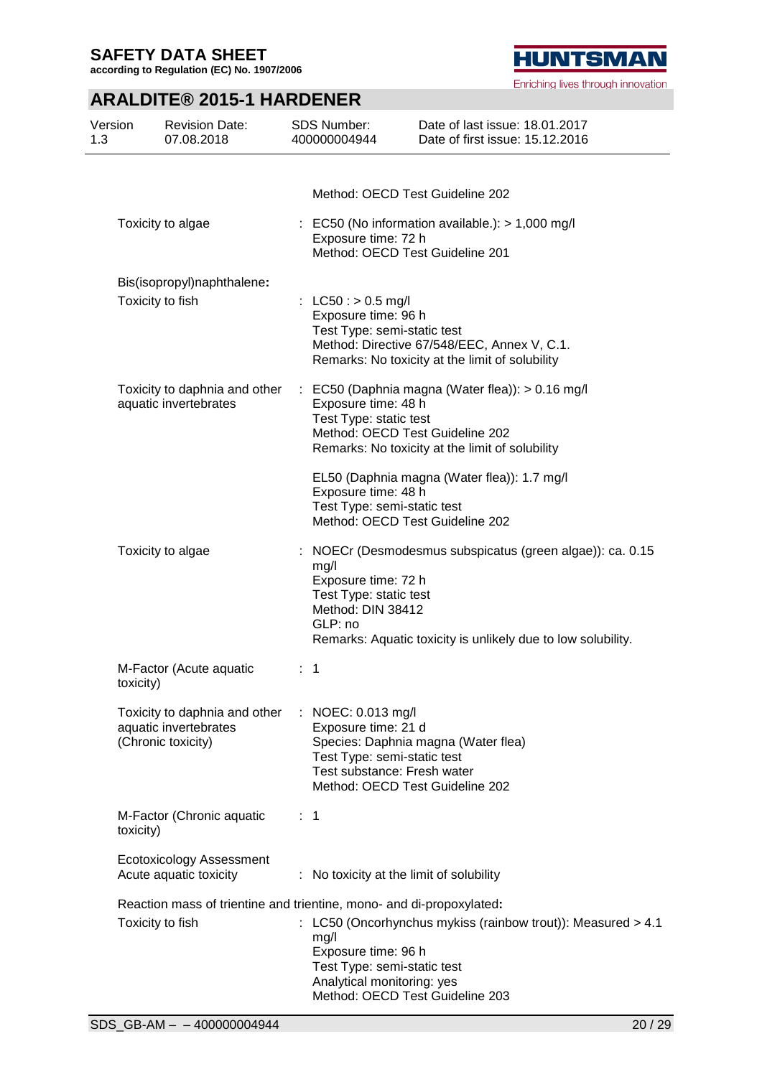**according to Regulation (EC) No. 1907/2006**

## **ARALDITE® 2015-1 HARDENER**

| Version<br>1.3 | <b>Revision Date:</b><br>07.08.2018                                          | <b>SDS Number:</b><br>400000004944                                                                      | Date of last issue: 18.01.2017<br>Date of first issue: 15.12.2016                                                                                                                                  |
|----------------|------------------------------------------------------------------------------|---------------------------------------------------------------------------------------------------------|----------------------------------------------------------------------------------------------------------------------------------------------------------------------------------------------------|
|                |                                                                              |                                                                                                         |                                                                                                                                                                                                    |
|                |                                                                              |                                                                                                         | Method: OECD Test Guideline 202                                                                                                                                                                    |
|                | Toxicity to algae                                                            | Exposure time: 72 h                                                                                     | $\therefore$ EC50 (No information available.): > 1,000 mg/l<br>Method: OECD Test Guideline 201                                                                                                     |
|                | Bis(isopropyl)naphthalene:                                                   |                                                                                                         |                                                                                                                                                                                                    |
|                | Toxicity to fish                                                             | : LC50 : $> 0.5$ mg/l<br>Exposure time: 96 h<br>Test Type: semi-static test                             | Method: Directive 67/548/EEC, Annex V, C.1.<br>Remarks: No toxicity at the limit of solubility                                                                                                     |
|                | Toxicity to daphnia and other<br>aquatic invertebrates                       | Exposure time: 48 h<br>Test Type: static test<br>Exposure time: 48 h                                    | $\therefore$ EC50 (Daphnia magna (Water flea)): $> 0.16$ mg/l<br>Method: OECD Test Guideline 202<br>Remarks: No toxicity at the limit of solubility<br>EL50 (Daphnia magna (Water flea)): 1.7 mg/l |
|                |                                                                              | Test Type: semi-static test                                                                             | Method: OECD Test Guideline 202                                                                                                                                                                    |
|                | Toxicity to algae                                                            | ÷<br>mg/l<br>Exposure time: 72 h<br>Test Type: static test<br>Method: DIN 38412<br>GLP: no              | NOECr (Desmodesmus subspicatus (green algae)): ca. 0.15<br>Remarks: Aquatic toxicity is unlikely due to low solubility.                                                                            |
|                | M-Factor (Acute aquatic<br>toxicity)                                         | $\mathbf{1}$                                                                                            |                                                                                                                                                                                                    |
|                | Toxicity to daphnia and other<br>aquatic invertebrates<br>(Chronic toxicity) | : NOEC: 0.013 mg/l<br>Exposure time: 21 d<br>Test Type: semi-static test<br>Test substance: Fresh water | Species: Daphnia magna (Water flea)<br>Method: OECD Test Guideline 202                                                                                                                             |
|                | M-Factor (Chronic aquatic<br>toxicity)                                       | $\therefore$ 1                                                                                          |                                                                                                                                                                                                    |
|                | <b>Ecotoxicology Assessment</b><br>Acute aquatic toxicity                    |                                                                                                         | : No toxicity at the limit of solubility                                                                                                                                                           |
|                | Reaction mass of trientine and trientine, mono- and di-propoxylated:         |                                                                                                         |                                                                                                                                                                                                    |
|                | Toxicity to fish                                                             | mg/l<br>Exposure time: 96 h<br>Test Type: semi-static test<br>Analytical monitoring: yes                | : LC50 (Oncorhynchus mykiss (rainbow trout)): Measured > 4.1<br>Method: OECD Test Guideline 203                                                                                                    |

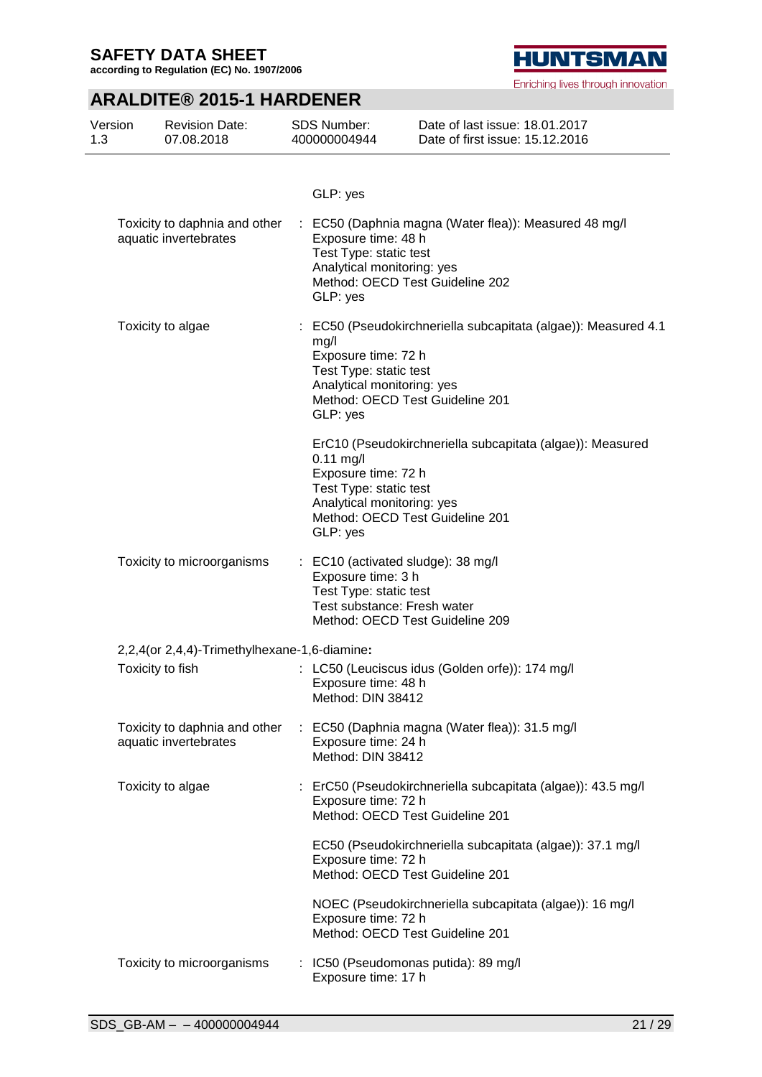**according to Regulation (EC) No. 1907/2006**

# **ARALDITE® 2015-1 HARDENER**

| Version<br>1.3 | <b>Revision Date:</b><br>07.08.2018                    |   | SDS Number:<br>400000004944                                                                                       | Date of last issue: 18.01.2017<br>Date of first issue: 15.12.2016                                 |
|----------------|--------------------------------------------------------|---|-------------------------------------------------------------------------------------------------------------------|---------------------------------------------------------------------------------------------------|
|                |                                                        |   | GLP: yes                                                                                                          |                                                                                                   |
|                | Toxicity to daphnia and other<br>aquatic invertebrates |   | Exposure time: 48 h<br>Test Type: static test<br>Analytical monitoring: yes<br>GLP: yes                           | : EC50 (Daphnia magna (Water flea)): Measured 48 mg/l<br>Method: OECD Test Guideline 202          |
|                | Toxicity to algae                                      |   | mg/l<br>Exposure time: 72 h<br>Test Type: static test<br>Analytical monitoring: yes<br>GLP: yes                   | : EC50 (Pseudokirchneriella subcapitata (algae)): Measured 4.1<br>Method: OECD Test Guideline 201 |
|                |                                                        |   | $0.11$ mg/l<br>Exposure time: 72 h<br>Test Type: static test<br>Analytical monitoring: yes<br>GLP: yes            | ErC10 (Pseudokirchneriella subcapitata (algae)): Measured<br>Method: OECD Test Guideline 201      |
|                | Toxicity to microorganisms                             |   | : EC10 (activated sludge): 38 mg/l<br>Exposure time: 3 h<br>Test Type: static test<br>Test substance: Fresh water | Method: OECD Test Guideline 209                                                                   |
|                | 2,2,4(or 2,4,4)-Trimethylhexane-1,6-diamine:           |   |                                                                                                                   |                                                                                                   |
|                | Toxicity to fish                                       |   | Exposure time: 48 h<br>Method: DIN 38412                                                                          | : LC50 (Leuciscus idus (Golden orfe)): 174 mg/l                                                   |
|                | Toxicity to daphnia and other<br>aquatic invertebrates | ÷ | Exposure time: 24 h<br>Method: DIN 38412                                                                          | EC50 (Daphnia magna (Water flea)): 31.5 mg/l                                                      |
|                | Toxicity to algae                                      |   | Exposure time: 72 h                                                                                               | ErC50 (Pseudokirchneriella subcapitata (algae)): 43.5 mg/l<br>Method: OECD Test Guideline 201     |
|                |                                                        |   | Exposure time: 72 h                                                                                               | EC50 (Pseudokirchneriella subcapitata (algae)): 37.1 mg/l<br>Method: OECD Test Guideline 201      |
|                |                                                        |   | Exposure time: 72 h                                                                                               | NOEC (Pseudokirchneriella subcapitata (algae)): 16 mg/l<br>Method: OECD Test Guideline 201        |
|                | Toxicity to microorganisms                             |   | Exposure time: 17 h                                                                                               | IC50 (Pseudomonas putida): 89 mg/l                                                                |

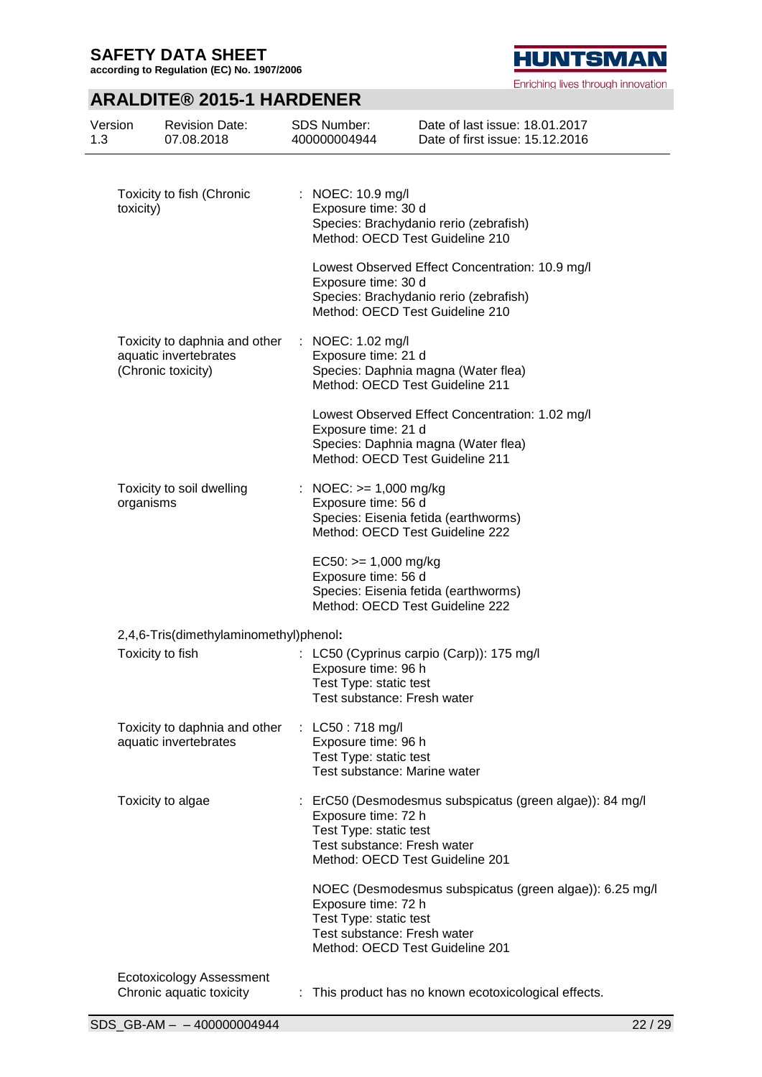**according to Regulation (EC) No. 1907/2006**

# **HUNTSMAN**

Enriching lives through innovation

# **ARALDITE® 2015-1 HARDENER**

| Version<br>1.3 | <b>Revision Date:</b><br>07.08.2018                                          | <b>SDS Number:</b><br>400000004944                                                                 | Date of last issue: 18.01.2017<br>Date of first issue: 15.12.2016                                                            |
|----------------|------------------------------------------------------------------------------|----------------------------------------------------------------------------------------------------|------------------------------------------------------------------------------------------------------------------------------|
|                | Toxicity to fish (Chronic<br>toxicity)                                       | : NOEC: 10.9 mg/l<br>Exposure time: 30 d                                                           | Species: Brachydanio rerio (zebrafish)<br>Method: OECD Test Guideline 210                                                    |
|                |                                                                              | Exposure time: 30 d                                                                                | Lowest Observed Effect Concentration: 10.9 mg/l<br>Species: Brachydanio rerio (zebrafish)<br>Method: OECD Test Guideline 210 |
|                | Toxicity to daphnia and other<br>aquatic invertebrates<br>(Chronic toxicity) | : NOEC: 1.02 mg/l<br>Exposure time: 21 d                                                           | Species: Daphnia magna (Water flea)<br>Method: OECD Test Guideline 211                                                       |
|                |                                                                              | Exposure time: 21 d                                                                                | Lowest Observed Effect Concentration: 1.02 mg/l<br>Species: Daphnia magna (Water flea)<br>Method: OECD Test Guideline 211    |
|                | Toxicity to soil dwelling<br>organisms                                       | : NOEC: $>= 1,000$ mg/kg<br>Exposure time: 56 d                                                    | Species: Eisenia fetida (earthworms)<br>Method: OECD Test Guideline 222                                                      |
|                |                                                                              | $EC50:>= 1,000$ mg/kg<br>Exposure time: 56 d                                                       | Species: Eisenia fetida (earthworms)<br>Method: OECD Test Guideline 222                                                      |
|                | 2,4,6-Tris(dimethylaminomethyl)phenol:                                       |                                                                                                    |                                                                                                                              |
|                | Toxicity to fish                                                             | Exposure time: 96 h<br>Test Type: static test<br>Test substance: Fresh water                       | : LC50 (Cyprinus carpio (Carp)): 175 mg/l                                                                                    |
|                | Toxicity to daphnia and other<br>aquatic invertebrates                       | : LC50 : 718 mg/l<br>Exposure time: 96 h<br>Test Type: static test<br>Test substance: Marine water |                                                                                                                              |
|                | Toxicity to algae                                                            | Exposure time: 72 h<br>Test Type: static test<br>Test substance: Fresh water                       | : ErC50 (Desmodesmus subspicatus (green algae)): 84 mg/l<br>Method: OECD Test Guideline 201                                  |
|                |                                                                              | Exposure time: 72 h<br>Test Type: static test<br>Test substance: Fresh water                       | NOEC (Desmodesmus subspicatus (green algae)): 6.25 mg/l<br>Method: OECD Test Guideline 201                                   |
|                | <b>Ecotoxicology Assessment</b><br>Chronic aquatic toxicity                  |                                                                                                    | This product has no known ecotoxicological effects.                                                                          |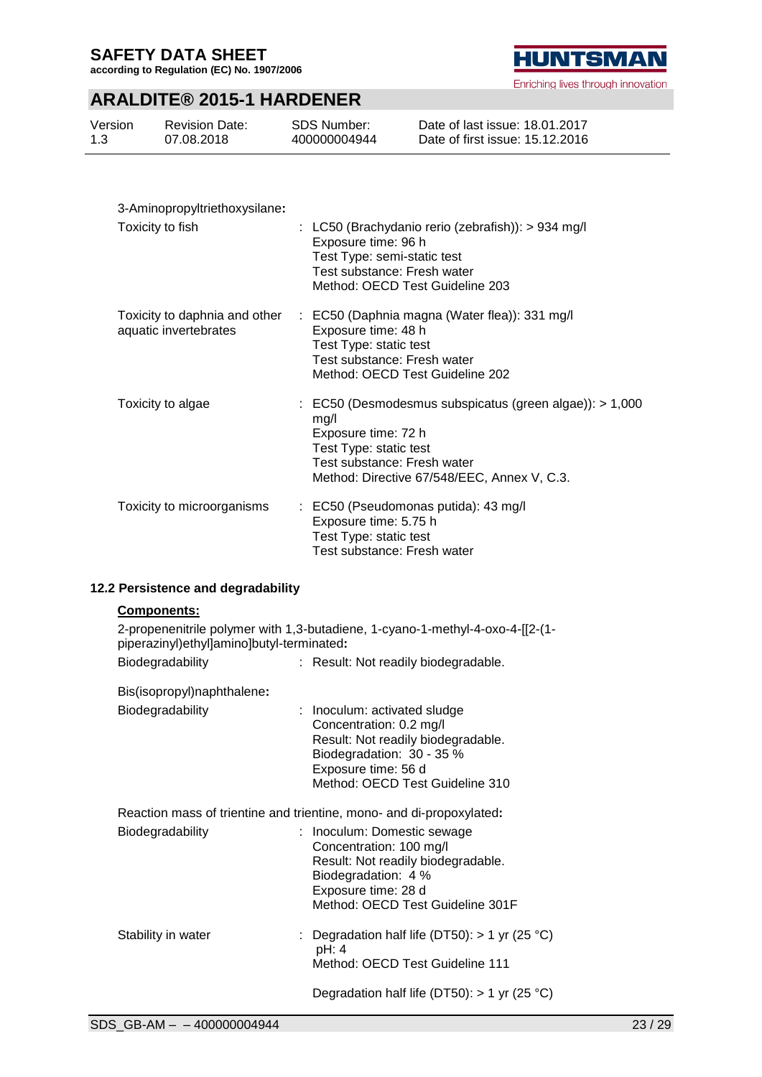**according to Regulation (EC) No. 1907/2006**

# **HUNTSMAN**

Enriching lives through innovation

# **ARALDITE® 2015-1 HARDENER**

| Version<br>1.3                | <b>Revision Date:</b><br>07.08.2018 | SDS Number:<br>400000004944 | Date of last issue: 18.01.2017<br>Date of first issue: 15.12.2016 |  |
|-------------------------------|-------------------------------------|-----------------------------|-------------------------------------------------------------------|--|
|                               |                                     |                             |                                                                   |  |
| 3-Aminopropyltriethoxysilane: |                                     |                             |                                                                   |  |

| Toxicity to fish                                       | : LC50 (Brachydanio rerio (zebrafish)): $> 934$ mg/l<br>Exposure time: 96 h<br>Test Type: semi-static test<br>Test substance: Fresh water<br>Method: OECD Test Guideline 203                                |
|--------------------------------------------------------|-------------------------------------------------------------------------------------------------------------------------------------------------------------------------------------------------------------|
| Toxicity to daphnia and other<br>aquatic invertebrates | : EC50 (Daphnia magna (Water flea)): 331 mg/l<br>Exposure time: 48 h<br>Test Type: static test<br>Test substance: Fresh water<br>Method: OECD Test Guideline 202                                            |
| Toxicity to algae                                      | $\therefore$ EC50 (Desmodesmus subspicatus (green algae)): $> 1,000$<br>mq/l<br>Exposure time: 72 h<br>Test Type: static test<br>Test substance: Fresh water<br>Method: Directive 67/548/EEC, Annex V, C.3. |
| Toxicity to microorganisms                             | : EC50 (Pseudomonas putida): 43 mg/l<br>Exposure time: 5.75 h<br>Test Type: static test<br>Test substance: Fresh water                                                                                      |

## **12.2 Persistence and degradability**

## **Components:**

| 2-propenenitrile polymer with 1,3-butadiene, 1-cyano-1-methyl-4-oxo-4-[[2-(1-<br>piperazinyl)ethyl]amino]butyl-terminated: |                                                                                                                                                                                      |  |  |  |
|----------------------------------------------------------------------------------------------------------------------------|--------------------------------------------------------------------------------------------------------------------------------------------------------------------------------------|--|--|--|
| Biodegradability                                                                                                           | : Result: Not readily biodegradable.                                                                                                                                                 |  |  |  |
| Bis(isopropyl)naphthalene:                                                                                                 |                                                                                                                                                                                      |  |  |  |
| Biodegradability                                                                                                           | : Inoculum: activated sludge<br>Concentration: 0.2 mg/l<br>Result: Not readily biodegradable.<br>Biodegradation: 30 - 35 %<br>Exposure time: 56 d<br>Method: OECD Test Guideline 310 |  |  |  |
| Reaction mass of trientine and trientine, mono- and di-propoxylated:                                                       |                                                                                                                                                                                      |  |  |  |
| Biodegradability                                                                                                           | : Inoculum: Domestic sewage<br>Concentration: 100 mg/l<br>Result: Not readily biodegradable.<br>Biodegradation: 4 %<br>Exposure time: 28 d<br>Method: OECD Test Guideline 301F       |  |  |  |
| Stability in water                                                                                                         | Degradation half life (DT50): $> 1$ yr (25 °C)<br>pH: 4<br>Method: OECD Test Guideline 111                                                                                           |  |  |  |
| Degradation half life (DT50): $> 1$ yr (25 °C)                                                                             |                                                                                                                                                                                      |  |  |  |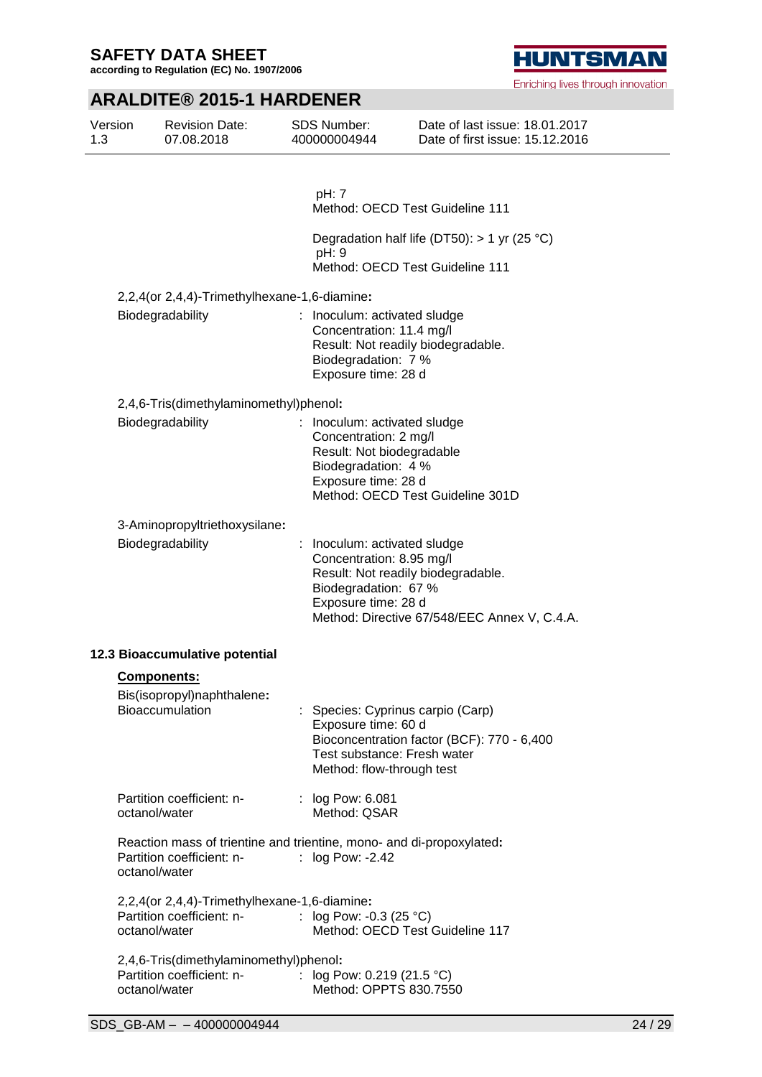**according to Regulation (EC) No. 1907/2006**

# **HUNTSMAN**

Enriching lives through innovation

# **ARALDITE® 2015-1 HARDENER**

| Version<br>1.3 | <b>Revision Date:</b><br>07.08.2018                                                                                | <b>SDS Number:</b><br>400000004944                                                                                               | Date of last issue: 18.01.2017<br>Date of first issue: 15.12.2016                                              |
|----------------|--------------------------------------------------------------------------------------------------------------------|----------------------------------------------------------------------------------------------------------------------------------|----------------------------------------------------------------------------------------------------------------|
|                |                                                                                                                    | pH: 7                                                                                                                            |                                                                                                                |
|                |                                                                                                                    |                                                                                                                                  | Method: OECD Test Guideline 111                                                                                |
|                |                                                                                                                    | pH: 9                                                                                                                            | Degradation half life (DT50): $> 1$ yr (25 °C)                                                                 |
|                |                                                                                                                    |                                                                                                                                  | Method: OECD Test Guideline 111                                                                                |
|                | 2,2,4(or 2,4,4)-Trimethylhexane-1,6-diamine:                                                                       |                                                                                                                                  |                                                                                                                |
|                | Biodegradability                                                                                                   | : Inoculum: activated sludge<br>Concentration: 11.4 mg/l<br>Biodegradation: 7 %<br>Exposure time: 28 d                           | Result: Not readily biodegradable.                                                                             |
|                | 2,4,6-Tris(dimethylaminomethyl)phenol:                                                                             |                                                                                                                                  |                                                                                                                |
|                | Biodegradability                                                                                                   | : Inoculum: activated sludge<br>Concentration: 2 mg/l<br>Result: Not biodegradable<br>Biodegradation: 4 %<br>Exposure time: 28 d | Method: OECD Test Guideline 301D                                                                               |
|                | 3-Aminopropyltriethoxysilane:                                                                                      |                                                                                                                                  |                                                                                                                |
|                | Biodegradability                                                                                                   | Inoculum: activated sludge<br>Concentration: 8.95 mg/l<br>Biodegradation: 67 %<br>Exposure time: 28 d                            | Result: Not readily biodegradable.<br>Method: Directive 67/548/EEC Annex V, C.4.A.                             |
|                | 12.3 Bioaccumulative potential                                                                                     |                                                                                                                                  |                                                                                                                |
|                | <b>Components:</b>                                                                                                 |                                                                                                                                  |                                                                                                                |
|                | Bis(isopropyl)naphthalene:<br><b>Bioaccumulation</b>                                                               | Exposure time: 60 d<br>Method: flow-through test                                                                                 | : Species: Cyprinus carpio (Carp)<br>Bioconcentration factor (BCF): 770 - 6,400<br>Test substance: Fresh water |
|                | Partition coefficient: n-<br>octanol/water                                                                         | : log Pow: 6.081<br>Method: QSAR                                                                                                 |                                                                                                                |
|                | Reaction mass of trientine and trientine, mono- and di-propoxylated:<br>Partition coefficient: n-<br>octanol/water | $:$ log Pow: -2.42                                                                                                               |                                                                                                                |
|                | 2,2,4(or 2,4,4)-Trimethylhexane-1,6-diamine:                                                                       |                                                                                                                                  |                                                                                                                |
|                | Partition coefficient: n-<br>octanol/water                                                                         | : $log Pow: -0.3 (25 °C)$                                                                                                        | Method: OECD Test Guideline 117                                                                                |
|                | 2,4,6-Tris(dimethylaminomethyl)phenol:                                                                             |                                                                                                                                  |                                                                                                                |
|                | Partition coefficient: n-<br>octanol/water                                                                         | : $log Pow: 0.219 (21.5 °C)$<br>Method: OPPTS 830.7550                                                                           |                                                                                                                |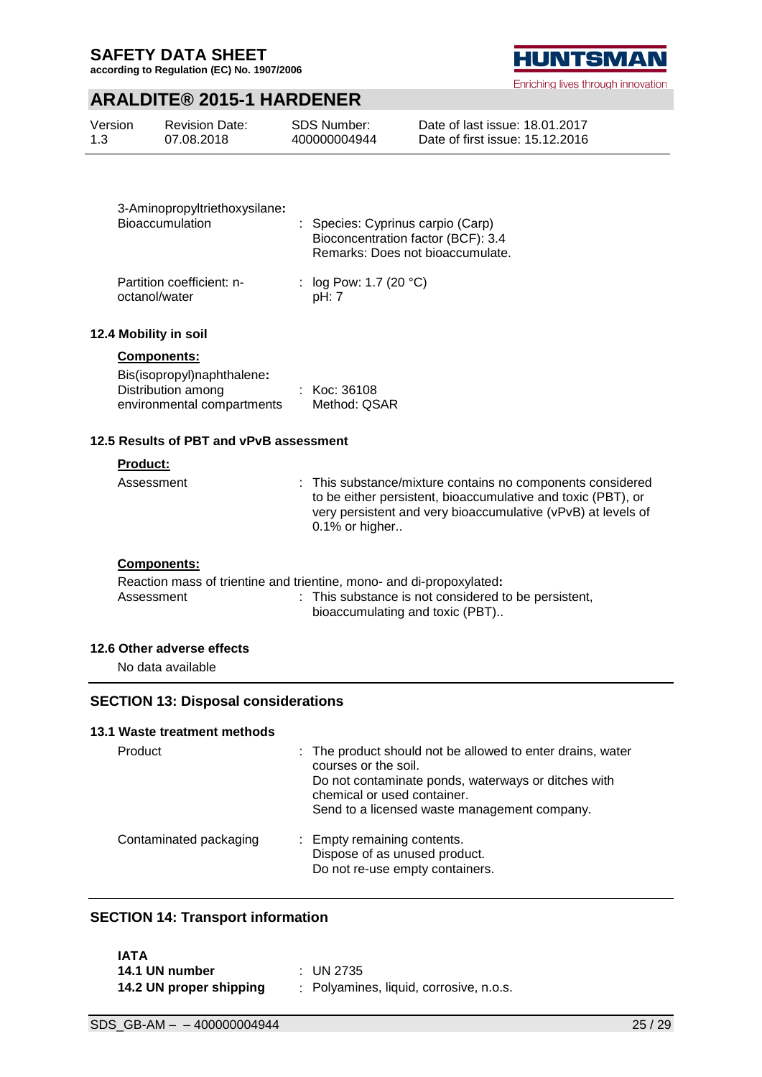**according to Regulation (EC) No. 1907/2006**

## **ARALDITE® 2015-1 HARDENER**

| Version | <b>Revision Date:</b> | SDS Number:  | Date of last issue: 18.01.2017  |
|---------|-----------------------|--------------|---------------------------------|
| 1.3     | 07.08.2018            | 400000004944 | Date of first issue: 15.12.2016 |

| 3-Aminopropyltriethoxysilane:<br>Bioaccumulation | : Species: Cyprinus carpio (Carp)<br>Bioconcentration factor (BCF): 3.4<br>Remarks: Does not bioaccumulate. |  |
|--------------------------------------------------|-------------------------------------------------------------------------------------------------------------|--|
| Partition coefficient: n-<br>octanol/water       | : $log Pow: 1.7 (20 °C)$<br>pH: 7                                                                           |  |

#### **12.4 Mobility in soil**

#### **Components:**

| Bis(isopropyl)naphthalene: |              |
|----------------------------|--------------|
| Distribution among         | : Koc: 36108 |
| environmental compartments | Method: QSAR |

#### **12.5 Results of PBT and vPvB assessment**

## **Product:**

| Assessment | : This substance/mixture contains no components considered<br>to be either persistent, bioaccumulative and toxic (PBT), or<br>very persistent and very bioaccumulative (vPvB) at levels of<br>0.1% or higher |
|------------|--------------------------------------------------------------------------------------------------------------------------------------------------------------------------------------------------------------|
|            |                                                                                                                                                                                                              |

#### **Components:**

Reaction mass of trientine and trientine, mono- and di-propoxylated**:** : This substance is not considered to be persistent, bioaccumulating and toxic (PBT)..

#### **12.6 Other adverse effects**

No data available

## **SECTION 13: Disposal considerations**

#### **13.1 Waste treatment methods**

| Product                | : The product should not be allowed to enter drains, water<br>courses or the soil.<br>Do not contaminate ponds, waterways or ditches with<br>chemical or used container.<br>Send to a licensed waste management company. |
|------------------------|--------------------------------------------------------------------------------------------------------------------------------------------------------------------------------------------------------------------------|
| Contaminated packaging | : Empty remaining contents.<br>Dispose of as unused product.<br>Do not re-use empty containers.                                                                                                                          |

## **SECTION 14: Transport information**

| IATA                    |                                         |
|-------------------------|-----------------------------------------|
| 14.1 UN number          | $\pm$ UN 2735                           |
| 14.2 UN proper shipping | : Polyamines, liquid, corrosive, n.o.s. |

**HUNTSMAN** Enriching lives through innovation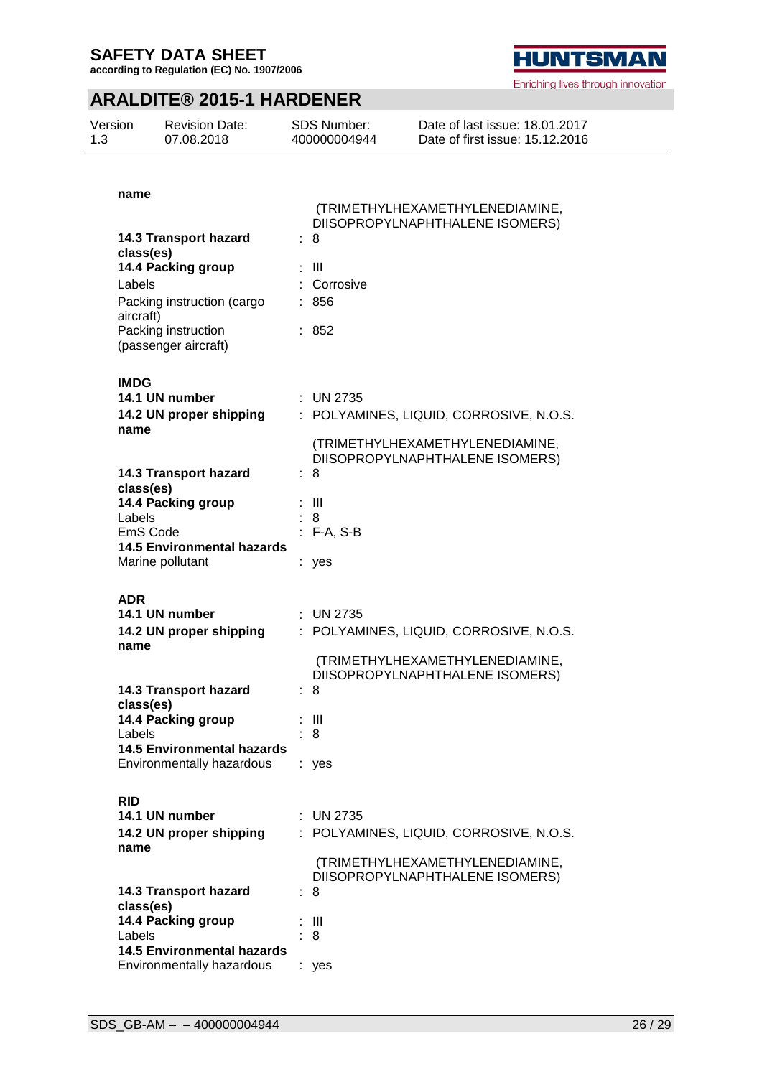Version 1.3

**according to Regulation (EC) No. 1907/2006**

Revision Date: 07.08.2018

## **ARALDITE® 2015-1 HARDENER**

SDS Number: 400000004944

| name                                                           |                                                                    |
|----------------------------------------------------------------|--------------------------------------------------------------------|
|                                                                | (TRIMETHYLHEXAMETHYLENEDIAMINE,<br>DIISOPROPYLNAPHTHALENE ISOMERS) |
| <b>14.3 Transport hazard</b><br>class(es)                      | : 8                                                                |
| 14.4 Packing group                                             | : III                                                              |
| Labels                                                         | : Corrosive                                                        |
| Packing instruction (cargo<br>aircraft)                        | : 856                                                              |
| Packing instruction<br>(passenger aircraft)                    | : 852                                                              |
| <b>IMDG</b>                                                    |                                                                    |
| 14.1 UN number<br>14.2 UN proper shipping                      | : UN 2735<br>: POLYAMINES, LIQUID, CORROSIVE, N.O.S.               |
| name                                                           |                                                                    |
|                                                                | (TRIMETHYLHEXAMETHYLENEDIAMINE,<br>DIISOPROPYLNAPHTHALENE ISOMERS) |
| 14.3 Transport hazard                                          | 8                                                                  |
| class(es)                                                      |                                                                    |
| 14.4 Packing group                                             | : III                                                              |
| Labels<br>EmS Code                                             | 8<br>$: F-A, S-B$                                                  |
| <b>14.5 Environmental hazards</b>                              |                                                                    |
| Marine pollutant                                               | : yes                                                              |
|                                                                |                                                                    |
| ADR                                                            |                                                                    |
| 14.1 UN number                                                 | $\therefore$ UN 2735                                               |
| 14.2 UN proper shipping                                        | : POLYAMINES, LIQUID, CORROSIVE, N.O.S.                            |
| name                                                           |                                                                    |
|                                                                | (TRIMETHYLHEXAMETHYLENEDIAMINE,<br>DIISOPROPYLNAPHTHALENE ISOMERS) |
| <b>14.3 Transport hazard</b>                                   | : 8                                                                |
| class(es)                                                      |                                                                    |
| 14.4 Packing group                                             | : III                                                              |
| Labels                                                         | . R                                                                |
| <b>14.5 Environmental hazards</b>                              |                                                                    |
| Environmentally hazardous                                      | : yes                                                              |
| <b>RID</b>                                                     |                                                                    |
| 14.1 UN number                                                 | : UN 2735                                                          |
| 14.2 UN proper shipping                                        | : POLYAMINES, LIQUID, CORROSIVE, N.O.S.                            |
| name                                                           |                                                                    |
|                                                                | (TRIMETHYLHEXAMETHYLENEDIAMINE,                                    |
|                                                                | DIISOPROPYLNAPHTHALENE ISOMERS)                                    |
| <b>14.3 Transport hazard</b>                                   | : 8                                                                |
| class(es)                                                      |                                                                    |
| 14.4 Packing group                                             | : III                                                              |
| Labels                                                         | 8                                                                  |
|                                                                |                                                                    |
| <b>14.5 Environmental hazards</b><br>Environmentally hazardous | : yes                                                              |



Enriching lives through innovation

Date of last issue: 18.01.2017 Date of first issue: 15.12.2016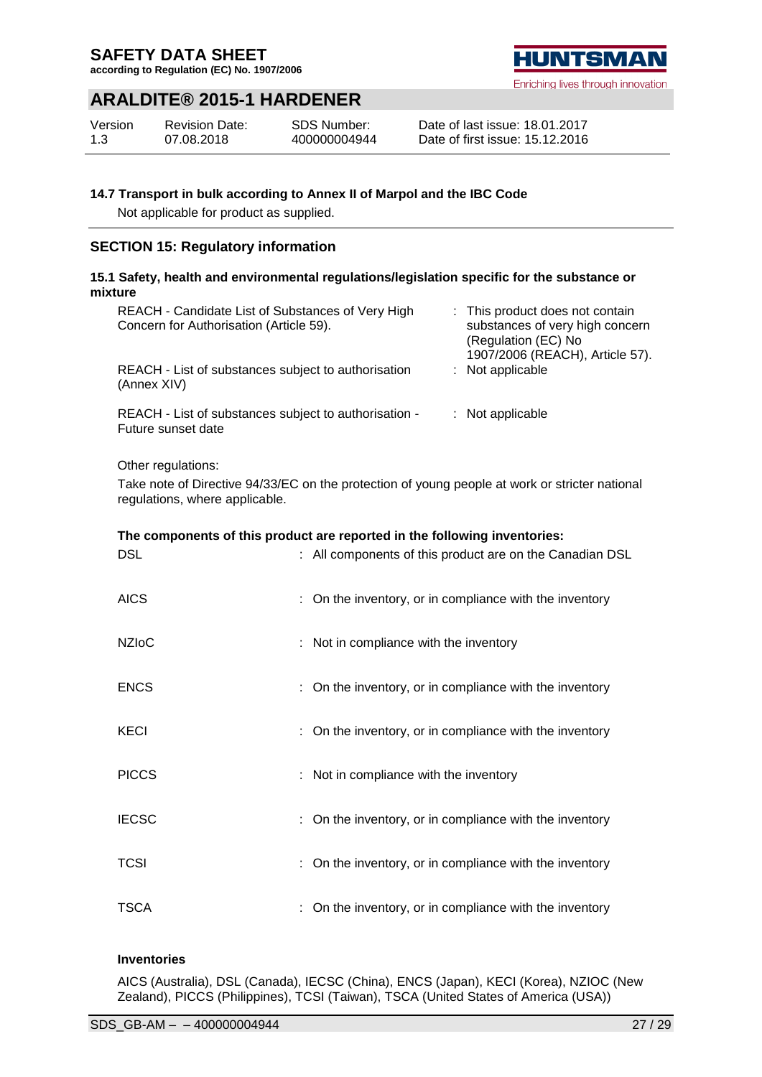**according to Regulation (EC) No. 1907/2006**

## **ARALDITE® 2015-1 HARDENER**

| Version | <b>Revision Date:</b> | <b>SDS Number:</b> |
|---------|-----------------------|--------------------|
| 1.3     | 07.08.2018            | 400000004944       |

#### Date of last issue: 18.01.2017 Date of first issue: 15.12.2016

## **14.7 Transport in bulk according to Annex II of Marpol and the IBC Code**

Not applicable for product as supplied.

## **SECTION 15: Regulatory information**

## **15.1 Safety, health and environmental regulations/legislation specific for the substance or mixture**

| REACH - Candidate List of Substances of Very High<br>Concern for Authorisation (Article 59). | : This product does not contain<br>substances of very high concern<br>(Regulation (EC) No<br>1907/2006 (REACH), Article 57). |
|----------------------------------------------------------------------------------------------|------------------------------------------------------------------------------------------------------------------------------|
| REACH - List of substances subject to authorisation<br>(Annex XIV)                           | $:$ Not applicable                                                                                                           |
| REACH - List of substances subject to authorisation -<br>Future sunset date                  | $:$ Not applicable                                                                                                           |

Other regulations:

Take note of Directive 94/33/EC on the protection of young people at work or stricter national regulations, where applicable.

## **The components of this product are reported in the following inventories:**

| <b>DSL</b>   | : All components of this product are on the Canadian DSL |
|--------------|----------------------------------------------------------|
| <b>AICS</b>  | On the inventory, or in compliance with the inventory    |
| <b>NZIoC</b> | : Not in compliance with the inventory                   |
| <b>ENCS</b>  | : On the inventory, or in compliance with the inventory  |
| <b>KECI</b>  | On the inventory, or in compliance with the inventory    |
| <b>PICCS</b> | : Not in compliance with the inventory                   |
| <b>IECSC</b> | : On the inventory, or in compliance with the inventory  |
| <b>TCSI</b>  | On the inventory, or in compliance with the inventory    |
| TSCA         | On the inventory, or in compliance with the inventory    |

## **Inventories**

AICS (Australia), DSL (Canada), IECSC (China), ENCS (Japan), KECI (Korea), NZIOC (New Zealand), PICCS (Philippines), TCSI (Taiwan), TSCA (United States of America (USA))

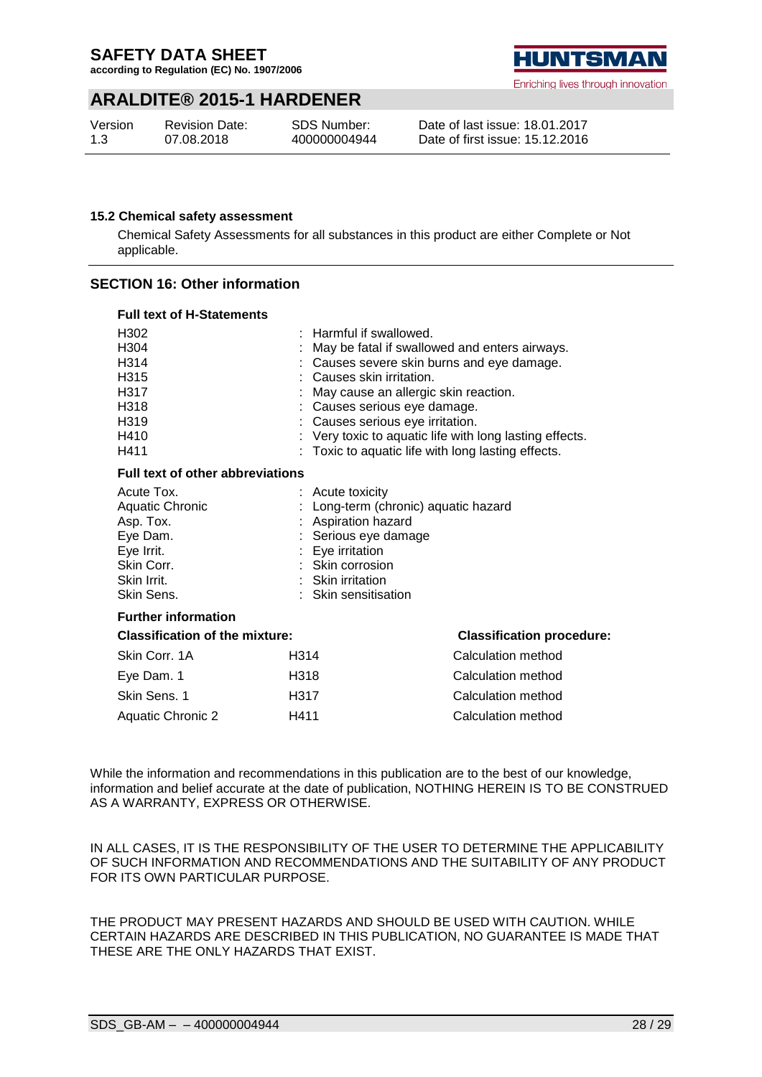**according to Regulation (EC) No. 1907/2006**

## **ARALDITE® 2015-1 HARDENER**

| Version | <b>Revision Date:</b> | <b>SDS Number:</b> |
|---------|-----------------------|--------------------|
| 1.3     | 07.08.2018            | 400000004944       |



Date of last issue: 18.01.2017 Date of first issue: 15.12.2016

#### **15.2 Chemical safety assessment**

Chemical Safety Assessments for all substances in this product are either Complete or Not applicable.

## **SECTION 16: Other information**

| <b>Full text of H-Statements</b>                                                                                                 |                                                                                                                                                    |                                                                                                                                                                                                                                                                                                                                                                                      |  |  |
|----------------------------------------------------------------------------------------------------------------------------------|----------------------------------------------------------------------------------------------------------------------------------------------------|--------------------------------------------------------------------------------------------------------------------------------------------------------------------------------------------------------------------------------------------------------------------------------------------------------------------------------------------------------------------------------------|--|--|
| H <sub>302</sub><br>H <sub>304</sub><br>H314<br>H <sub>315</sub><br>H317<br>H <sub>318</sub><br>H <sub>319</sub><br>H410<br>H411 |                                                                                                                                                    | $:$ Harmful if swallowed.<br>: May be fatal if swallowed and enters airways.<br>: Causes severe skin burns and eye damage.<br>: Causes skin irritation.<br>May cause an allergic skin reaction.<br>: Causes serious eye damage.<br>: Causes serious eye irritation.<br>: Very toxic to aquatic life with long lasting effects.<br>: Toxic to aquatic life with long lasting effects. |  |  |
| <b>Full text of other abbreviations</b>                                                                                          |                                                                                                                                                    |                                                                                                                                                                                                                                                                                                                                                                                      |  |  |
| Acute Tox.<br>Aquatic Chronic<br>Asp. Tox.<br>Eye Dam.<br>Eye Irrit.<br>Skin Corr.<br>Skin Irrit.<br>Skin Sens.                  | : Acute toxicity<br>: Aspiration hazard<br>Serious eye damage<br>: Eye irritation<br>: Skin corrosion<br>: Skin irritation<br>: Skin sensitisation | : Long-term (chronic) aquatic hazard                                                                                                                                                                                                                                                                                                                                                 |  |  |
| <b>Further information</b>                                                                                                       |                                                                                                                                                    |                                                                                                                                                                                                                                                                                                                                                                                      |  |  |
| <b>Classification of the mixture:</b>                                                                                            |                                                                                                                                                    | <b>Classification procedure:</b>                                                                                                                                                                                                                                                                                                                                                     |  |  |
| Skin Corr. 1A                                                                                                                    | H <sub>3</sub> 14                                                                                                                                  | Calculation method                                                                                                                                                                                                                                                                                                                                                                   |  |  |
| Eye Dam. 1                                                                                                                       | H318                                                                                                                                               | Calculation method                                                                                                                                                                                                                                                                                                                                                                   |  |  |
| Skin Sens. 1                                                                                                                     | H317                                                                                                                                               | Calculation method                                                                                                                                                                                                                                                                                                                                                                   |  |  |
| <b>Aquatic Chronic 2</b>                                                                                                         | H411                                                                                                                                               | Calculation method                                                                                                                                                                                                                                                                                                                                                                   |  |  |

While the information and recommendations in this publication are to the best of our knowledge, information and belief accurate at the date of publication, NOTHING HEREIN IS TO BE CONSTRUED AS A WARRANTY, EXPRESS OR OTHERWISE.

IN ALL CASES, IT IS THE RESPONSIBILITY OF THE USER TO DETERMINE THE APPLICABILITY OF SUCH INFORMATION AND RECOMMENDATIONS AND THE SUITABILITY OF ANY PRODUCT FOR ITS OWN PARTICULAR PURPOSE.

THE PRODUCT MAY PRESENT HAZARDS AND SHOULD BE USED WITH CAUTION. WHILE CERTAIN HAZARDS ARE DESCRIBED IN THIS PUBLICATION, NO GUARANTEE IS MADE THAT THESE ARE THE ONLY HAZARDS THAT EXIST.